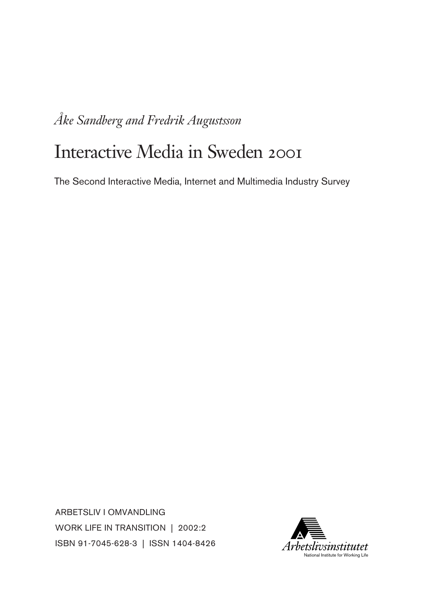# *Åke Sandberg and Fredrik Augustsson*

# Interactive Media in Sweden 2001

The Second Interactive Media, Internet and Multimedia Industry Survey

ARBETSLIV I OMVANDLING WORK LIFE IN TRANSITION | 2002:2 ISBN 91-7045-628-3 | ISSN 1404-8426

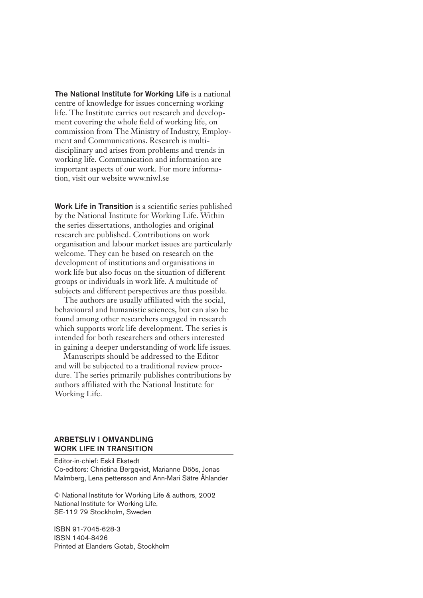**The National Institute for Working Life** is a national centre of knowledge for issues concerning working life. The Institute carries out research and development covering the whole field of working life, on commission from The Ministry of Industry, Employment and Communications. Research is multidisciplinary and arises from problems and trends in working life. Communication and information are important aspects of our work. For more information, visit our website www.niwl.se

**Work Life in Transition** is a scientific series published by the National Institute for Working Life. Within the series dissertations, anthologies and original research are published. Contributions on work organisation and labour market issues are particularly welcome. They can be based on research on the development of institutions and organisations in work life but also focus on the situation of different groups or individuals in work life. A multitude of subjects and different perspectives are thus possible.

The authors are usually affiliated with the social, behavioural and humanistic sciences, but can also be found among other researchers engaged in research which supports work life development. The series is intended for both researchers and others interested in gaining a deeper understanding of work life issues.

Manuscripts should be addressed to the Editor and will be subjected to a traditional review procedure. The series primarily publishes contributions by authors affiliated with the National Institute for Working Life.

#### **ARBETSLIV I OMVANDLING WORK LIFE IN TRANSITION**

Editor-in-chief: Eskil Ekstedt Co-editors: Christina Bergqvist, Marianne Döös, Jonas Malmberg, Lena pettersson and Ann-Mari Sätre Åhlander

© National Institute for Working Life & authors, 2002 National Institute for Working Life, SE-112 79 Stockholm, Sweden

ISBN 91-7045-628-3 ISSN 1404-8426 Printed at Elanders Gotab, Stockholm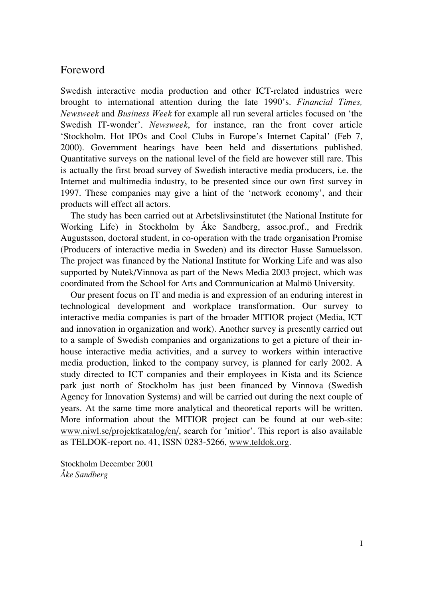## Foreword

Swedish interactive media production and other ICT-related industries were brought to international attention during the late 1990's. Financial Times, Newsweek and Business Week for example all run several articles focused on 'the Swedish IT-wonder'. Newsweek, for instance, ran the front cover article 'Stockholm. Hot IPOs and Cool Clubs in Europe's Internet Capital' (Feb 7, 2000). Government hearings have been held and dissertations published. Quantitative surveys on the national level of the field are however still rare. This is actually the first broad survey of Swedish interactive media producers, i.e. the Internet and multimedia industry, to be presented since our own first survey in 1997. These companies may give a hint of the 'network economy', and their products will effect all actors.

The study has been carried out at Arbetslivsinstitutet (the National Institute for Working Life) in Stockholm by Åke Sandberg, assoc.prof., and Fredrik Augustsson, doctoral student, in co-operation with the trade organisation Promise (Producers of interactive media in Sweden) and its director Hasse Samuelsson. The project was financed by the National Institute for Working Life and was also supported by Nutek/Vinnova as part of the News Media 2003 project, which was coordinated from the School for Arts and Communication at Malmö University.

Our present focus on IT and media is and expression of an enduring interest in technological development and workplace transformation. Our survey to interactive media companies is part of the broader MITIOR project (Media, ICT and innovation in organization and work). Another survey is presently carried out to a sample of Swedish companies and organizations to get a picture of their inhouse interactive media activities, and a survey to workers within interactive media production, linked to the company survey, is planned for early 2002. A study directed to ICT companies and their employees in Kista and its Science park just north of Stockholm has just been financed by Vinnova (Swedish Agency for Innovation Systems) and will be carried out during the next couple of years. At the same time more analytical and theoretical reports will be written. More information about the MITIOR project can be found at our web-site: www.niwl.se/projektkatalog/en/, search for 'mitior'. This report is also available as TELDOK-report no. 41, ISSN 0283-5266, www.teldok.org.

Stockholm December 2001 *Åke Sandberg*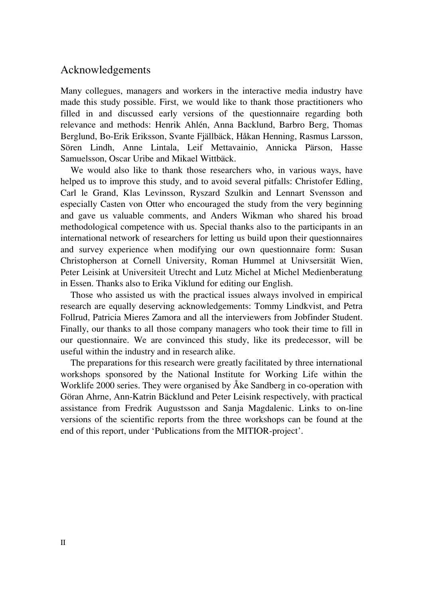#### Acknowledgements

Many collegues, managers and workers in the interactive media industry have made this study possible. First, we would like to thank those practitioners who filled in and discussed early versions of the questionnaire regarding both relevance and methods: Henrik Ahlén, Anna Backlund, Barbro Berg, Thomas Berglund, Bo-Erik Eriksson, Svante Fjällbäck, Håkan Henning, Rasmus Larsson, Sören Lindh, Anne Lintala, Leif Mettavainio, Annicka Pärson, Hasse Samuelsson, Oscar Uribe and Mikael Wittbäck.

We would also like to thank those researchers who, in various ways, have helped us to improve this study, and to avoid several pitfalls: Christofer Edling, Carl le Grand, Klas Levinsson, Ryszard Szulkin and Lennart Svensson and especially Casten von Otter who encouraged the study from the very beginning and gave us valuable comments, and Anders Wikman who shared his broad methodological competence with us. Special thanks also to the participants in an international network of researchers for letting us build upon their questionnaires and survey experience when modifying our own questionnaire form: Susan Christopherson at Cornell University, Roman Hummel at Univsersität Wien, Peter Leisink at Universiteit Utrecht and Lutz Michel at Michel Medienberatung in Essen. Thanks also to Erika Viklund for editing our English.

Those who assisted us with the practical issues always involved in empirical research are equally deserving acknowledgements: Tommy Lindkvist, and Petra Follrud, Patricia Mieres Zamora and all the interviewers from Jobfinder Student. Finally, our thanks to all those company managers who took their time to fill in our questionnaire. We are convinced this study, like its predecessor, will be useful within the industry and in research alike.

The preparations for this research were greatly facilitated by three international workshops sponsored by the National Institute for Working Life within the Worklife 2000 series. They were organised by Åke Sandberg in co-operation with Göran Ahrne, Ann-Katrin Bäcklund and Peter Leisink respectively, with practical assistance from Fredrik Augustsson and Sanja Magdalenic. Links to on-line versions of the scientific reports from the three workshops can be found at the end of this report, under 'Publications from the MITIOR-project'.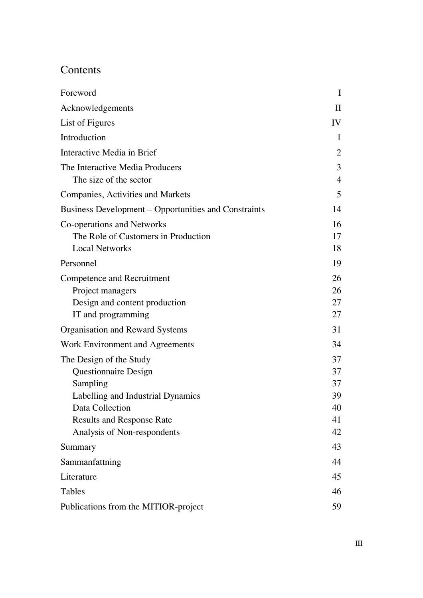# Contents

| Foreword                                                                                                            | $\mathbf I$                |
|---------------------------------------------------------------------------------------------------------------------|----------------------------|
| Acknowledgements                                                                                                    | $\rm{II}$                  |
| List of Figures                                                                                                     | IV                         |
| Introduction                                                                                                        | 1                          |
| Interactive Media in Brief                                                                                          | 2                          |
| The Interactive Media Producers<br>The size of the sector                                                           | 3<br>$\overline{4}$        |
| Companies, Activities and Markets                                                                                   | 5                          |
| Business Development – Opportunities and Constraints                                                                | 14                         |
| Co-operations and Networks<br>The Role of Customers in Production<br><b>Local Networks</b>                          | 16<br>17<br>18             |
| Personnel                                                                                                           | 19                         |
| Competence and Recruitment<br>Project managers<br>Design and content production<br>IT and programming               | 26<br>26<br>27<br>27       |
| Organisation and Reward Systems                                                                                     | 31                         |
| Work Environment and Agreements                                                                                     | 34                         |
| The Design of the Study<br>Questionnaire Design<br>Sampling<br>Labelling and Industrial Dynamics<br>Data Collection | 37<br>37<br>37<br>39<br>40 |
| <b>Results and Response Rate</b>                                                                                    | 41                         |
| Analysis of Non-respondents                                                                                         | 42                         |
| Summary                                                                                                             | 43                         |
| Sammanfattning                                                                                                      | 44                         |
| Literature                                                                                                          | 45                         |
| Tables                                                                                                              | 46                         |
| Publications from the MITIOR-project                                                                                | 59                         |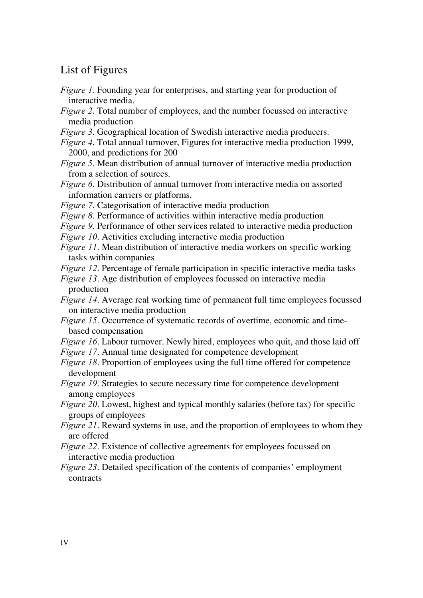# List of Figures

- Figure 1. Founding year for enterprises, and starting year for production of interactive media.
- Figure 2. Total number of employees, and the number focussed on interactive media production
- Figure 3. Geographical location of Swedish interactive media producers.
- Figure 4. Total annual turnover, Figures for interactive media production 1999, 2000, and predictions for 200
- Figure 5. Mean distribution of annual turnover of interactive media production from a selection of sources.
- Figure 6. Distribution of annual turnover from interactive media on assorted information carriers or platforms.
- Figure 7. Categorisation of interactive media production
- Figure 8. Performance of activities within interactive media production
- Figure 9. Performance of other services related to interactive media production
- Figure 10. Activities excluding interactive media production
- Figure 11. Mean distribution of interactive media workers on specific working tasks within companies
- Figure 12. Percentage of female participation in specific interactive media tasks
- Figure 13. Age distribution of employees focussed on interactive media production
- Figure 14. Average real working time of permanent full time employees focussed on interactive media production
- Figure 15. Occurrence of systematic records of overtime, economic and timebased compensation
- Figure 16. Labour turnover. Newly hired, employees who quit, and those laid off
- Figure 17. Annual time designated for competence development
- Figure 18. Proportion of employees using the full time offered for competence development
- Figure 19. Strategies to secure necessary time for competence development among employees
- Figure 20. Lowest, highest and typical monthly salaries (before tax) for specific groups of employees
- Figure 21. Reward systems in use, and the proportion of employees to whom they are offered
- Figure 22. Existence of collective agreements for employees focussed on interactive media production
- Figure 23. Detailed specification of the contents of companies' employment contracts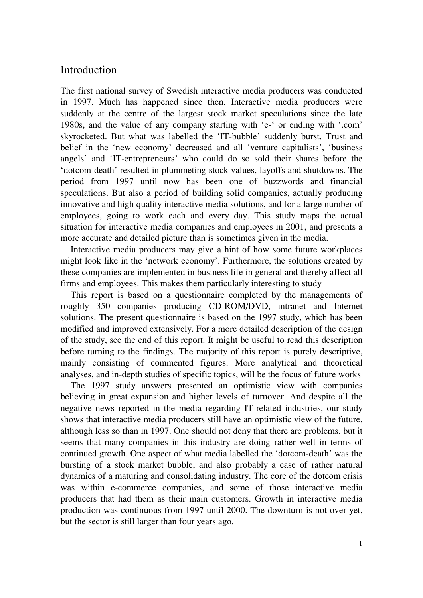## Introduction

The first national survey of Swedish interactive media producers was conducted in 1997. Much has happened since then. Interactive media producers were suddenly at the centre of the largest stock market speculations since the late 1980s, and the value of any company starting with 'e-' or ending with '.com' skyrocketed. But what was labelled the 'IT-bubble' suddenly burst. Trust and belief in the 'new economy' decreased and all 'venture capitalists', 'business angels' and 'IT-entrepreneurs' who could do so sold their shares before the 'dotcom-death' resulted in plummeting stock values, layoffs and shutdowns. The period from 1997 until now has been one of buzzwords and financial speculations. But also a period of building solid companies, actually producing innovative and high quality interactive media solutions, and for a large number of employees, going to work each and every day. This study maps the actual situation for interactive media companies and employees in 2001, and presents a more accurate and detailed picture than is sometimes given in the media.

Interactive media producers may give a hint of how some future workplaces might look like in the 'network economy'. Furthermore, the solutions created by these companies are implemented in business life in general and thereby affect all firms and employees. This makes them particularly interesting to study

This report is based on a questionnaire completed by the managements of roughly 350 companies producing CD-ROM/DVD, intranet and Internet solutions. The present questionnaire is based on the 1997 study, which has been modified and improved extensively. For a more detailed description of the design of the study, see the end of this report. It might be useful to read this description before turning to the findings. The majority of this report is purely descriptive, mainly consisting of commented figures. More analytical and theoretical analyses, and in-depth studies of specific topics, will be the focus of future works

The 1997 study answers presented an optimistic view with companies believing in great expansion and higher levels of turnover. And despite all the negative news reported in the media regarding IT-related industries, our study shows that interactive media producers still have an optimistic view of the future, although less so than in 1997. One should not deny that there are problems, but it seems that many companies in this industry are doing rather well in terms of continued growth. One aspect of what media labelled the 'dotcom-death' was the bursting of a stock market bubble, and also probably a case of rather natural dynamics of a maturing and consolidating industry. The core of the dotcom crisis was within e-commerce companies, and some of those interactive media producers that had them as their main customers. Growth in interactive media production was continuous from 1997 until 2000. The downturn is not over yet, but the sector is still larger than four years ago.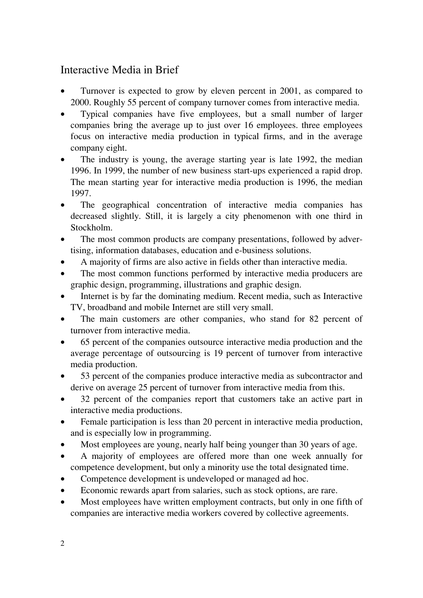# Interactive Media in Brief

- Turnover is expected to grow by eleven percent in 2001, as compared to 2000. Roughly 55 percent of company turnover comes from interactive media.
- Typical companies have five employees, but a small number of larger companies bring the average up to just over 16 employees. three employees focus on interactive media production in typical firms, and in the average company eight.
- The industry is young, the average starting year is late 1992, the median 1996. In 1999, the number of new business start-ups experienced a rapid drop. The mean starting year for interactive media production is 1996, the median 1997.
- The geographical concentration of interactive media companies has decreased slightly. Still, it is largely a city phenomenon with one third in Stockholm.
- The most common products are company presentations, followed by advertising, information databases, education and e-business solutions.
- A majority of firms are also active in fields other than interactive media.
- The most common functions performed by interactive media producers are graphic design, programming, illustrations and graphic design.
- Internet is by far the dominating medium. Recent media, such as Interactive TV, broadband and mobile Internet are still very small.
- The main customers are other companies, who stand for 82 percent of turnover from interactive media.
- 65 percent of the companies outsource interactive media production and the average percentage of outsourcing is 19 percent of turnover from interactive media production.
- 53 percent of the companies produce interactive media as subcontractor and derive on average 25 percent of turnover from interactive media from this.
- 32 percent of the companies report that customers take an active part in interactive media productions.
- Female participation is less than 20 percent in interactive media production, and is especially low in programming.
- Most employees are young, nearly half being younger than 30 years of age.
- A majority of employees are offered more than one week annually for competence development, but only a minority use the total designated time.
- Competence development is undeveloped or managed ad hoc.
- Economic rewards apart from salaries, such as stock options, are rare.
- Most employees have written employment contracts, but only in one fifth of companies are interactive media workers covered by collective agreements.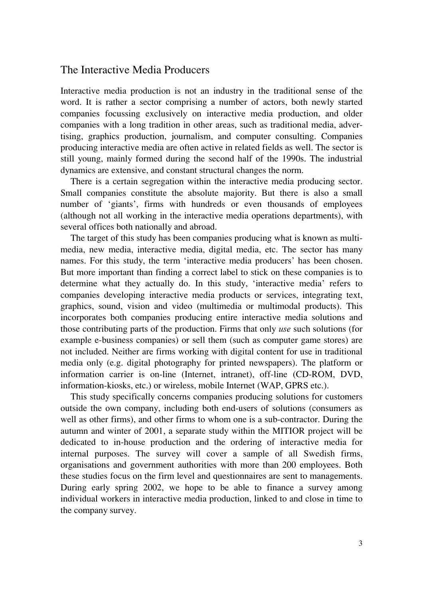#### The Interactive Media Producers

Interactive media production is not an industry in the traditional sense of the word. It is rather a sector comprising a number of actors, both newly started companies focussing exclusively on interactive media production, and older companies with a long tradition in other areas, such as traditional media, advertising, graphics production, journalism, and computer consulting. Companies producing interactive media are often active in related fields as well. The sector is still young, mainly formed during the second half of the 1990s. The industrial dynamics are extensive, and constant structural changes the norm.

There is a certain segregation within the interactive media producing sector. Small companies constitute the absolute majority. But there is also a small number of 'giants', firms with hundreds or even thousands of employees (although not all working in the interactive media operations departments), with several offices both nationally and abroad.

The target of this study has been companies producing what is known as multimedia, new media, interactive media, digital media, etc. The sector has many names. For this study, the term 'interactive media producers' has been chosen. But more important than finding a correct label to stick on these companies is to determine what they actually do. In this study, 'interactive media' refers to companies developing interactive media products or services, integrating text, graphics, sound, vision and video (multimedia or multimodal products). This incorporates both companies producing entire interactive media solutions and those contributing parts of the production. Firms that only use such solutions (for example e-business companies) or sell them (such as computer game stores) are not included. Neither are firms working with digital content for use in traditional media only (e.g. digital photography for printed newspapers). The platform or information carrier is on-line (Internet, intranet), off-line (CD-ROM, DVD, information-kiosks, etc.) or wireless, mobile Internet (WAP, GPRS etc.).

This study specifically concerns companies producing solutions for customers outside the own company, including both end-users of solutions (consumers as well as other firms), and other firms to whom one is a sub-contractor. During the autumn and winter of 2001, a separate study within the MITIOR project will be dedicated to in-house production and the ordering of interactive media for internal purposes. The survey will cover a sample of all Swedish firms, organisations and government authorities with more than 200 employees. Both these studies focus on the firm level and questionnaires are sent to managements. During early spring 2002, we hope to be able to finance a survey among individual workers in interactive media production, linked to and close in time to the company survey.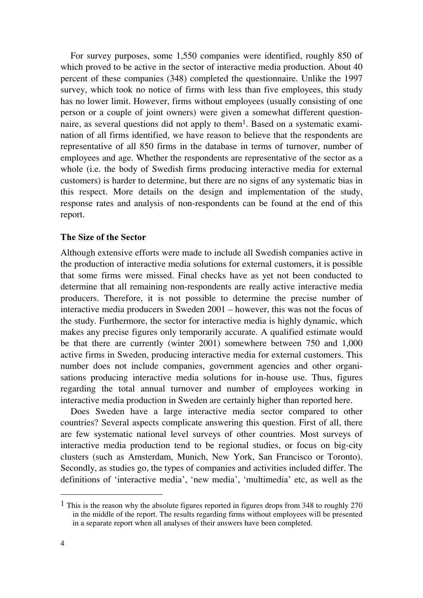For survey purposes, some 1,550 companies were identified, roughly 850 of which proved to be active in the sector of interactive media production. About 40 percent of these companies (348) completed the questionnaire. Unlike the 1997 survey, which took no notice of firms with less than five employees, this study has no lower limit. However, firms without employees (usually consisting of one person or a couple of joint owners) were given a somewhat different questionnaire, as several questions did not apply to them1. Based on a systematic examination of all firms identified, we have reason to believe that the respondents are representative of all 850 firms in the database in terms of turnover, number of employees and age. Whether the respondents are representative of the sector as a whole (i.e. the body of Swedish firms producing interactive media for external customers) is harder to determine, but there are no signs of any systematic bias in this respect. More details on the design and implementation of the study, response rates and analysis of non-respondents can be found at the end of this report.

#### The Size of the Sector

Although extensive efforts were made to include all Swedish companies active in the production of interactive media solutions for external customers, it is possible that some firms were missed. Final checks have as yet not been conducted to determine that all remaining non-respondents are really active interactive media producers. Therefore, it is not possible to determine the precise number of interactive media producers in Sweden 2001 – however, this was not the focus of the study. Furthermore, the sector for interactive media is highly dynamic, which makes any precise figures only temporarily accurate. A qualified estimate would be that there are currently (winter 2001) somewhere between 750 and 1,000 active firms in Sweden, producing interactive media for external customers. This number does not include companies, government agencies and other organisations producing interactive media solutions for in-house use. Thus, figures regarding the total annual turnover and number of employees working in interactive media production in Sweden are certainly higher than reported here.

Does Sweden have a large interactive media sector compared to other countries? Several aspects complicate answering this question. First of all, there are few systematic national level surveys of other countries. Most surveys of interactive media production tend to be regional studies, or focus on big-city clusters (such as Amsterdam, Munich, New York, San Francisco or Toronto). Secondly, as studies go, the types of companies and activities included differ. The definitions of 'interactive media', 'new media', 'multimedia' etc, as well as the

l

 $1$  This is the reason why the absolute figures reported in figures drops from 348 to roughly 270 in the middle of the report. The results regarding firms without employees will be presented in a separate report when all analyses of their answers have been completed.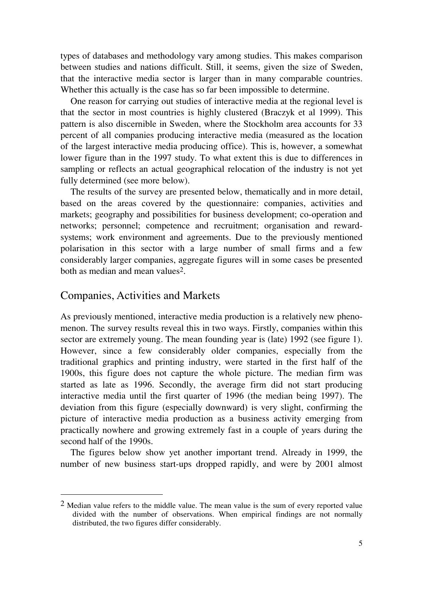types of databases and methodology vary among studies. This makes comparison between studies and nations difficult. Still, it seems, given the size of Sweden, that the interactive media sector is larger than in many comparable countries. Whether this actually is the case has so far been impossible to determine.

One reason for carrying out studies of interactive media at the regional level is that the sector in most countries is highly clustered (Braczyk et al 1999). This pattern is also discernible in Sweden, where the Stockholm area accounts for 33 percent of all companies producing interactive media (measured as the location of the largest interactive media producing office). This is, however, a somewhat lower figure than in the 1997 study. To what extent this is due to differences in sampling or reflects an actual geographical relocation of the industry is not yet fully determined (see more below).

The results of the survey are presented below, thematically and in more detail, based on the areas covered by the questionnaire: companies, activities and markets; geography and possibilities for business development; co-operation and networks; personnel; competence and recruitment; organisation and rewardsystems; work environment and agreements. Due to the previously mentioned polarisation in this sector with a large number of small firms and a few considerably larger companies, aggregate figures will in some cases be presented both as median and mean values2.

#### Companies, Activities and Markets

l

As previously mentioned, interactive media production is a relatively new phenomenon. The survey results reveal this in two ways. Firstly, companies within this sector are extremely young. The mean founding year is (late) 1992 (see figure 1). However, since a few considerably older companies, especially from the traditional graphics and printing industry, were started in the first half of the 1900s, this figure does not capture the whole picture. The median firm was started as late as 1996. Secondly, the average firm did not start producing interactive media until the first quarter of 1996 (the median being 1997). The deviation from this figure (especially downward) is very slight, confirming the picture of interactive media production as a business activity emerging from practically nowhere and growing extremely fast in a couple of years during the second half of the 1990s.

The figures below show yet another important trend. Already in 1999, the number of new business start-ups dropped rapidly, and were by 2001 almost

 $2$  Median value refers to the middle value. The mean value is the sum of every reported value divided with the number of observations. When empirical findings are not normally distributed, the two figures differ considerably.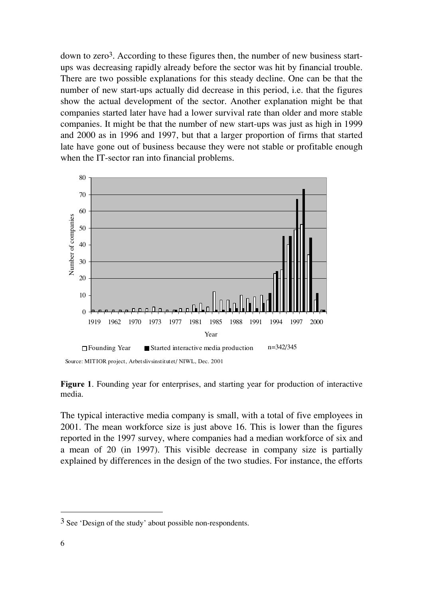down to zero<sup>3</sup>. According to these figures then, the number of new business startups was decreasing rapidly already before the sector was hit by financial trouble. There are two possible explanations for this steady decline. One can be that the number of new start-ups actually did decrease in this period, i.e. that the figures show the actual development of the sector. Another explanation might be that companies started later have had a lower survival rate than older and more stable companies. It might be that the number of new start-ups was just as high in 1999 and 2000 as in 1996 and 1997, but that a larger proportion of firms that started late have gone out of business because they were not stable or profitable enough when the IT-sector ran into financial problems.



Figure 1. Founding year for enterprises, and starting year for production of interactive media.

The typical interactive media company is small, with a total of five employees in 2001. The mean workforce size is just above 16. This is lower than the figures reported in the 1997 survey, where companies had a median workforce of six and a mean of 20 (in 1997). This visible decrease in company size is partially explained by differences in the design of the two studies. For instance, the efforts

l

<sup>3</sup> See 'Design of the study' about possible non-respondents.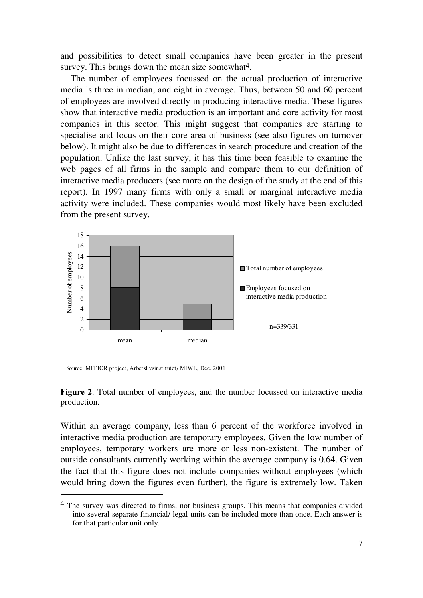and possibilities to detect small companies have been greater in the present survey. This brings down the mean size somewhat<sup>4</sup>.

The number of employees focussed on the actual production of interactive media is three in median, and eight in average. Thus, between 50 and 60 percent of employees are involved directly in producing interactive media. These figures show that interactive media production is an important and core activity for most companies in this sector. This might suggest that companies are starting to specialise and focus on their core area of business (see also figures on turnover below). It might also be due to differences in search procedure and creation of the population. Unlike the last survey, it has this time been feasible to examine the web pages of all firms in the sample and compare them to our definition of interactive media producers (see more on the design of the study at the end of this report). In 1997 many firms with only a small or marginal interactive media activity were included. These companies would most likely have been excluded from the present survey.



Source: MITIOR project, Arbetslivsinstitutet/ MIWL, Dec. 2001

l

Figure 2. Total number of employees, and the number focussed on interactive media production.

Within an average company, less than 6 percent of the workforce involved in interactive media production are temporary employees. Given the low number of employees, temporary workers are more or less non-existent. The number of outside consultants currently working within the average company is 0.64. Given the fact that this figure does not include companies without employees (which would bring down the figures even further), the figure is extremely low. Taken

<sup>4</sup> The survey was directed to firms, not business groups. This means that companies divided into several separate financial/ legal units can be included more than once. Each answer is for that particular unit only.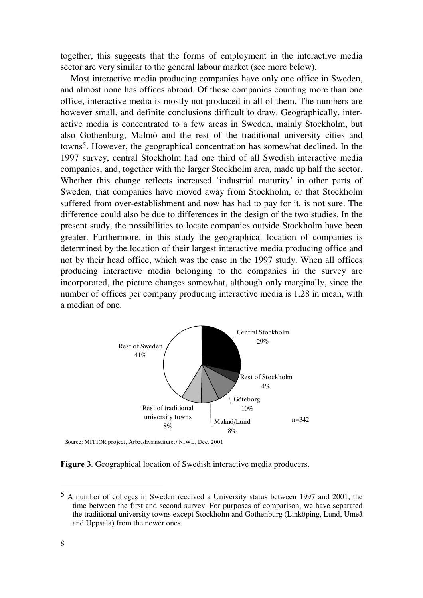together, this suggests that the forms of employment in the interactive media sector are very similar to the general labour market (see more below).

Most interactive media producing companies have only one office in Sweden, and almost none has offices abroad. Of those companies counting more than one office, interactive media is mostly not produced in all of them. The numbers are however small, and definite conclusions difficult to draw. Geographically, interactive media is concentrated to a few areas in Sweden, mainly Stockholm, but also Gothenburg, Malmö and the rest of the traditional university cities and towns5. However, the geographical concentration has somewhat declined. In the 1997 survey, central Stockholm had one third of all Swedish interactive media companies, and, together with the larger Stockholm area, made up half the sector. Whether this change reflects increased 'industrial maturity' in other parts of Sweden, that companies have moved away from Stockholm, or that Stockholm suffered from over-establishment and now has had to pay for it, is not sure. The difference could also be due to differences in the design of the two studies. In the present study, the possibilities to locate companies outside Stockholm have been greater. Furthermore, in this study the geographical location of companies is determined by the location of their largest interactive media producing office and not by their head office, which was the case in the 1997 study. When all offices producing interactive media belonging to the companies in the survey are incorporated, the picture changes somewhat, although only marginally, since the number of offices per company producing interactive media is 1.28 in mean, with a median of one.



Source: MITIOR project, Arbetslivsinstitutet/ NIWL, Dec. 2001

Figure 3. Geographical location of Swedish interactive media producers.

l

<sup>5</sup> A number of colleges in Sweden received a University status between 1997 and 2001, the time between the first and second survey. For purposes of comparison, we have separated the traditional university towns except Stockholm and Gothenburg (Linköping, Lund, Umeå and Uppsala) from the newer ones.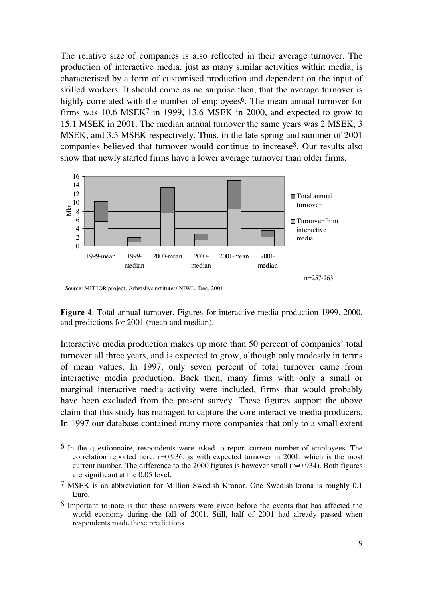The relative size of companies is also reflected in their average turnover. The production of interactive media, just as many similar activities within media, is characterised by a form of customised production and dependent on the input of skilled workers. It should come as no surprise then, that the average turnover is highly correlated with the number of employees<sup>6</sup>. The mean annual turnover for firms was 10.6 MSEK7 in 1999, 13.6 MSEK in 2000, and expected to grow to 15.1 MSEK in 2001. The median annual turnover the same years was 2 MSEK, 3 MSEK, and 3.5 MSEK respectively. Thus, in the late spring and summer of 2001 companies believed that turnover would continue to increase8. Our results also show that newly started firms have a lower average turnover than older firms.



Source: MITIOR project, Arbetslivsinstitutet/ NIWL, Dec. 2001

l

Figure 4. Total annual turnover. Figures for interactive media production 1999, 2000, and predictions for 2001 (mean and median).

Interactive media production makes up more than 50 percent of companies' total turnover all three years, and is expected to grow, although only modestly in terms of mean values. In 1997, only seven percent of total turnover came from interactive media production. Back then, many firms with only a small or marginal interactive media activity were included, firms that would probably have been excluded from the present survey. These figures support the above claim that this study has managed to capture the core interactive media producers. In 1997 our database contained many more companies that only to a small extent

<sup>6</sup> In the questionnaire, respondents were asked to report current number of employees. The correlation reported here, r=0.936, is with expected turnover in 2001, which is the most current number. The difference to the 2000 figures is however small  $(r=0.934)$ . Both figures are significant at the 0,05 level.

<sup>7</sup> MSEK is an abbreviation for Million Swedish Kronor. One Swedish krona is roughly 0,1 Euro.

<sup>&</sup>lt;sup>8</sup> Important to note is that these answers were given before the events that has affected the world economy during the fall of 2001. Still, half of 2001 had already passed when respondents made these predictions.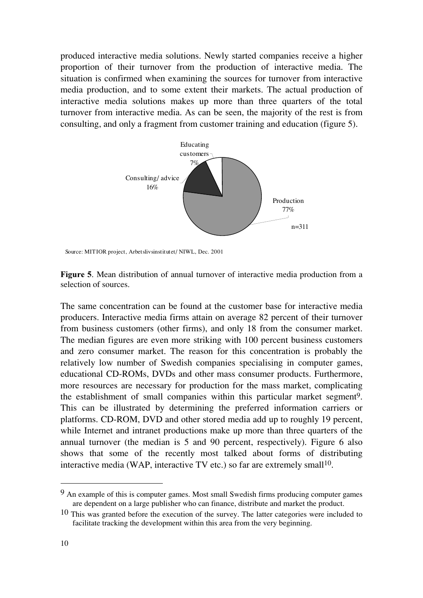produced interactive media solutions. Newly started companies receive a higher proportion of their turnover from the production of interactive media. The situation is confirmed when examining the sources for turnover from interactive media production, and to some extent their markets. The actual production of interactive media solutions makes up more than three quarters of the total turnover from interactive media. As can be seen, the majority of the rest is from consulting, and only a fragment from customer training and education (figure 5).



Source: MITIOR project, Arbetslivsinstitutet/ NIWL, Dec. 2001

Figure 5. Mean distribution of annual turnover of interactive media production from a selection of sources.

The same concentration can be found at the customer base for interactive media producers. Interactive media firms attain on average 82 percent of their turnover from business customers (other firms), and only 18 from the consumer market. The median figures are even more striking with 100 percent business customers and zero consumer market. The reason for this concentration is probably the relatively low number of Swedish companies specialising in computer games, educational CD-ROMs, DVDs and other mass consumer products. Furthermore, more resources are necessary for production for the mass market, complicating the establishment of small companies within this particular market segment9. This can be illustrated by determining the preferred information carriers or platforms. CD-ROM, DVD and other stored media add up to roughly 19 percent, while Internet and intranet productions make up more than three quarters of the annual turnover (the median is 5 and 90 percent, respectively). Figure 6 also shows that some of the recently most talked about forms of distributing interactive media (WAP, interactive TV etc.) so far are extremely small<sup>10</sup>.

l

<sup>9</sup> An example of this is computer games. Most small Swedish firms producing computer games are dependent on a large publisher who can finance, distribute and market the product.

 $10$  This was granted before the execution of the survey. The latter categories were included to facilitate tracking the development within this area from the very beginning.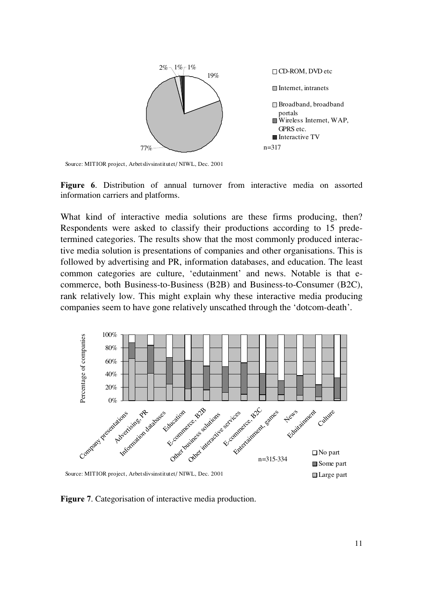

Source: MITIOR project, Arbetslivsinstitutet/ NIWL, Dec. 2001

Figure 6. Distribution of annual turnover from interactive media on assorted information carriers and platforms.

What kind of interactive media solutions are these firms producing, then? Respondents were asked to classify their productions according to 15 predetermined categories. The results show that the most commonly produced interactive media solution is presentations of companies and other organisations. This is followed by advertising and PR, information databases, and education. The least common categories are culture, 'edutainment' and news. Notable is that ecommerce, both Business-to-Business (B2B) and Business-to-Consumer (B2C), rank relatively low. This might explain why these interactive media producing companies seem to have gone relatively unscathed through the 'dotcom-death'.



Figure 7. Categorisation of interactive media production.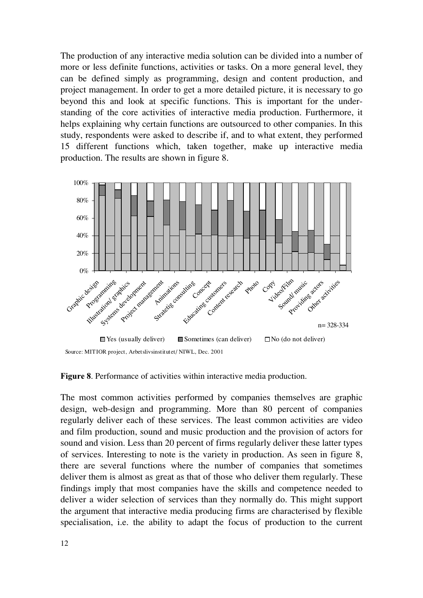The production of any interactive media solution can be divided into a number of more or less definite functions, activities or tasks. On a more general level, they can be defined simply as programming, design and content production, and project management. In order to get a more detailed picture, it is necessary to go beyond this and look at specific functions. This is important for the understanding of the core activities of interactive media production. Furthermore, it helps explaining why certain functions are outsourced to other companies. In this study, respondents were asked to describe if, and to what extent, they performed 15 different functions which, taken together, make up interactive media production. The results are shown in figure 8.



Figure 8. Performance of activities within interactive media production.

The most common activities performed by companies themselves are graphic design, web-design and programming. More than 80 percent of companies regularly deliver each of these services. The least common activities are video and film production, sound and music production and the provision of actors for sound and vision. Less than 20 percent of firms regularly deliver these latter types of services. Interesting to note is the variety in production. As seen in figure 8, there are several functions where the number of companies that sometimes deliver them is almost as great as that of those who deliver them regularly. These findings imply that most companies have the skills and competence needed to deliver a wider selection of services than they normally do. This might support the argument that interactive media producing firms are characterised by flexible specialisation, i.e. the ability to adapt the focus of production to the current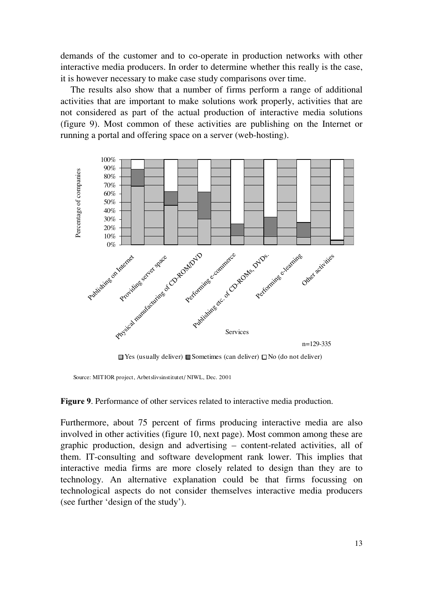demands of the customer and to co-operate in production networks with other interactive media producers. In order to determine whether this really is the case, it is however necessary to make case study comparisons over time.

The results also show that a number of firms perform a range of additional activities that are important to make solutions work properly, activities that are not considered as part of the actual production of interactive media solutions (figure 9). Most common of these activities are publishing on the Internet or running a portal and offering space on a server (web-hosting).



Yes (usually deliver) Sometimes (can deliver)  $\Box$  No (do not deliver)

Source: MITIOR project, Arbetslivsinstitutet/ NIWL, Dec. 2001

Figure 9. Performance of other services related to interactive media production.

Furthermore, about 75 percent of firms producing interactive media are also involved in other activities (figure 10, next page). Most common among these are graphic production, design and advertising – content-related activities, all of them. IT-consulting and software development rank lower. This implies that interactive media firms are more closely related to design than they are to technology. An alternative explanation could be that firms focussing on technological aspects do not consider themselves interactive media producers (see further 'design of the study').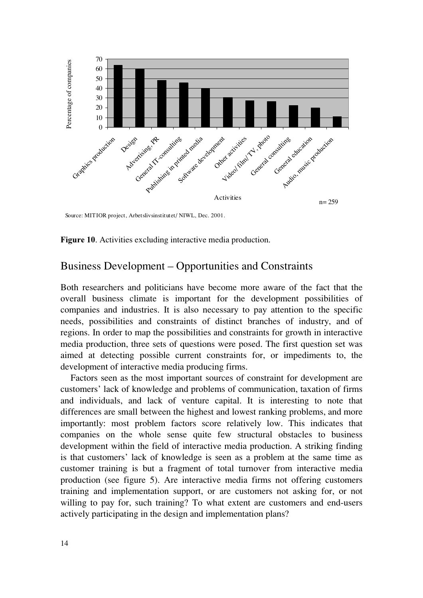

Source: MITIOR project, Arbetslivsinstitutet/ NIWL, Dec. 2001.

Figure 10. Activities excluding interactive media production.

# Business Development – Opportunities and Constraints

Both researchers and politicians have become more aware of the fact that the overall business climate is important for the development possibilities of companies and industries. It is also necessary to pay attention to the specific needs, possibilities and constraints of distinct branches of industry, and of regions. In order to map the possibilities and constraints for growth in interactive media production, three sets of questions were posed. The first question set was aimed at detecting possible current constraints for, or impediments to, the development of interactive media producing firms.

Factors seen as the most important sources of constraint for development are customers' lack of knowledge and problems of communication, taxation of firms and individuals, and lack of venture capital. It is interesting to note that differences are small between the highest and lowest ranking problems, and more importantly: most problem factors score relatively low. This indicates that companies on the whole sense quite few structural obstacles to business development within the field of interactive media production. A striking finding is that customers' lack of knowledge is seen as a problem at the same time as customer training is but a fragment of total turnover from interactive media production (see figure 5). Are interactive media firms not offering customers training and implementation support, or are customers not asking for, or not willing to pay for, such training? To what extent are customers and end-users actively participating in the design and implementation plans?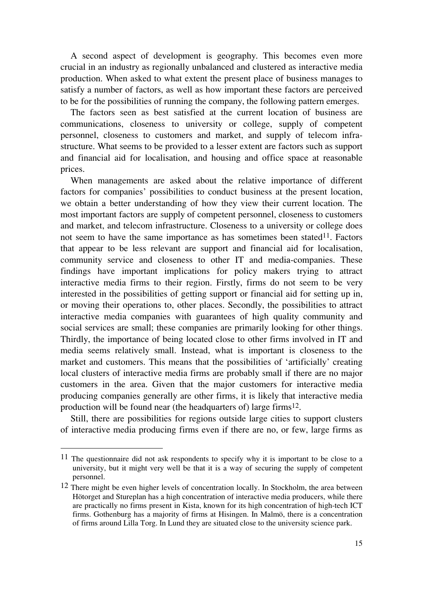A second aspect of development is geography. This becomes even more crucial in an industry as regionally unbalanced and clustered as interactive media production. When asked to what extent the present place of business manages to satisfy a number of factors, as well as how important these factors are perceived to be for the possibilities of running the company, the following pattern emerges.

The factors seen as best satisfied at the current location of business are communications, closeness to university or college, supply of competent personnel, closeness to customers and market, and supply of telecom infrastructure. What seems to be provided to a lesser extent are factors such as support and financial aid for localisation, and housing and office space at reasonable prices.

When managements are asked about the relative importance of different factors for companies' possibilities to conduct business at the present location, we obtain a better understanding of how they view their current location. The most important factors are supply of competent personnel, closeness to customers and market, and telecom infrastructure. Closeness to a university or college does not seem to have the same importance as has sometimes been stated  $11$ . Factors that appear to be less relevant are support and financial aid for localisation, community service and closeness to other IT and media-companies. These findings have important implications for policy makers trying to attract interactive media firms to their region. Firstly, firms do not seem to be very interested in the possibilities of getting support or financial aid for setting up in, or moving their operations to, other places. Secondly, the possibilities to attract interactive media companies with guarantees of high quality community and social services are small; these companies are primarily looking for other things. Thirdly, the importance of being located close to other firms involved in IT and media seems relatively small. Instead, what is important is closeness to the market and customers. This means that the possibilities of 'artificially' creating local clusters of interactive media firms are probably small if there are no major customers in the area. Given that the major customers for interactive media producing companies generally are other firms, it is likely that interactive media production will be found near (the headquarters of) large firms12.

Still, there are possibilities for regions outside large cities to support clusters of interactive media producing firms even if there are no, or few, large firms as

l

<sup>&</sup>lt;sup>11</sup> The questionnaire did not ask respondents to specify why it is important to be close to a university, but it might very well be that it is a way of securing the supply of competent personnel.

 $12$  There might be even higher levels of concentration locally. In Stockholm, the area between Hötorget and Stureplan has a high concentration of interactive media producers, while there are practically no firms present in Kista, known for its high concentration of high-tech ICT firms. Gothenburg has a majority of firms at Hisingen. In Malmö, there is a concentration of firms around Lilla Torg. In Lund they are situated close to the university science park.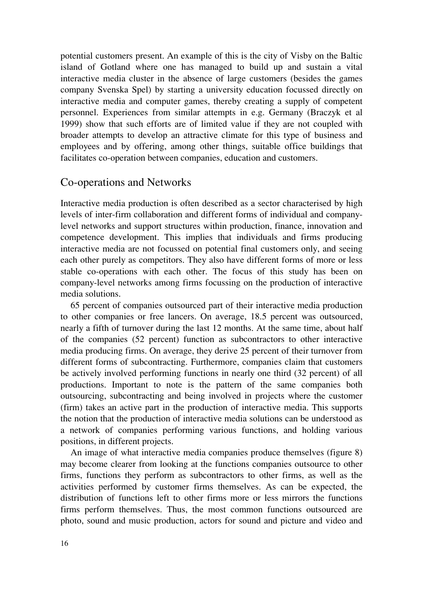potential customers present. An example of this is the city of Visby on the Baltic island of Gotland where one has managed to build up and sustain a vital interactive media cluster in the absence of large customers (besides the games company Svenska Spel) by starting a university education focussed directly on interactive media and computer games, thereby creating a supply of competent personnel. Experiences from similar attempts in e.g. Germany (Braczyk et al 1999) show that such efforts are of limited value if they are not coupled with broader attempts to develop an attractive climate for this type of business and employees and by offering, among other things, suitable office buildings that facilitates co-operation between companies, education and customers.

#### Co-operations and Networks

Interactive media production is often described as a sector characterised by high levels of inter-firm collaboration and different forms of individual and companylevel networks and support structures within production, finance, innovation and competence development. This implies that individuals and firms producing interactive media are not focussed on potential final customers only, and seeing each other purely as competitors. They also have different forms of more or less stable co-operations with each other. The focus of this study has been on company-level networks among firms focussing on the production of interactive media solutions.

65 percent of companies outsourced part of their interactive media production to other companies or free lancers. On average, 18.5 percent was outsourced, nearly a fifth of turnover during the last 12 months. At the same time, about half of the companies (52 percent) function as subcontractors to other interactive media producing firms. On average, they derive 25 percent of their turnover from different forms of subcontracting. Furthermore, companies claim that customers be actively involved performing functions in nearly one third (32 percent) of all productions. Important to note is the pattern of the same companies both outsourcing, subcontracting and being involved in projects where the customer (firm) takes an active part in the production of interactive media. This supports the notion that the production of interactive media solutions can be understood as a network of companies performing various functions, and holding various positions, in different projects.

An image of what interactive media companies produce themselves (figure 8) may become clearer from looking at the functions companies outsource to other firms, functions they perform as subcontractors to other firms, as well as the activities performed by customer firms themselves. As can be expected, the distribution of functions left to other firms more or less mirrors the functions firms perform themselves. Thus, the most common functions outsourced are photo, sound and music production, actors for sound and picture and video and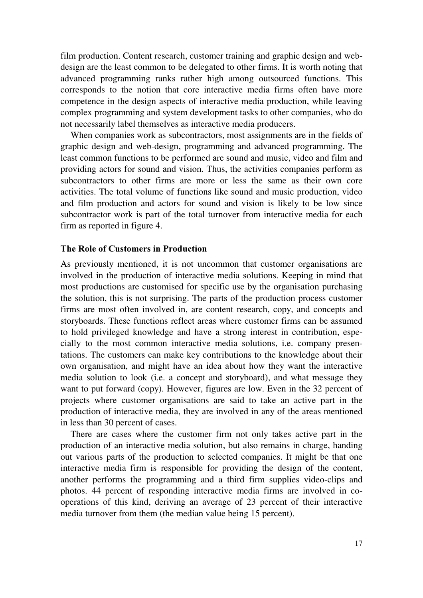film production. Content research, customer training and graphic design and webdesign are the least common to be delegated to other firms. It is worth noting that advanced programming ranks rather high among outsourced functions. This corresponds to the notion that core interactive media firms often have more competence in the design aspects of interactive media production, while leaving complex programming and system development tasks to other companies, who do not necessarily label themselves as interactive media producers.

When companies work as subcontractors, most assignments are in the fields of graphic design and web-design, programming and advanced programming. The least common functions to be performed are sound and music, video and film and providing actors for sound and vision. Thus, the activities companies perform as subcontractors to other firms are more or less the same as their own core activities. The total volume of functions like sound and music production, video and film production and actors for sound and vision is likely to be low since subcontractor work is part of the total turnover from interactive media for each firm as reported in figure 4.

#### The Role of Customers in Production

As previously mentioned, it is not uncommon that customer organisations are involved in the production of interactive media solutions. Keeping in mind that most productions are customised for specific use by the organisation purchasing the solution, this is not surprising. The parts of the production process customer firms are most often involved in, are content research, copy, and concepts and storyboards. These functions reflect areas where customer firms can be assumed to hold privileged knowledge and have a strong interest in contribution, especially to the most common interactive media solutions, i.e. company presentations. The customers can make key contributions to the knowledge about their own organisation, and might have an idea about how they want the interactive media solution to look (i.e. a concept and storyboard), and what message they want to put forward (copy). However, figures are low. Even in the 32 percent of projects where customer organisations are said to take an active part in the production of interactive media, they are involved in any of the areas mentioned in less than 30 percent of cases.

There are cases where the customer firm not only takes active part in the production of an interactive media solution, but also remains in charge, handing out various parts of the production to selected companies. It might be that one interactive media firm is responsible for providing the design of the content, another performs the programming and a third firm supplies video-clips and photos. 44 percent of responding interactive media firms are involved in cooperations of this kind, deriving an average of 23 percent of their interactive media turnover from them (the median value being 15 percent).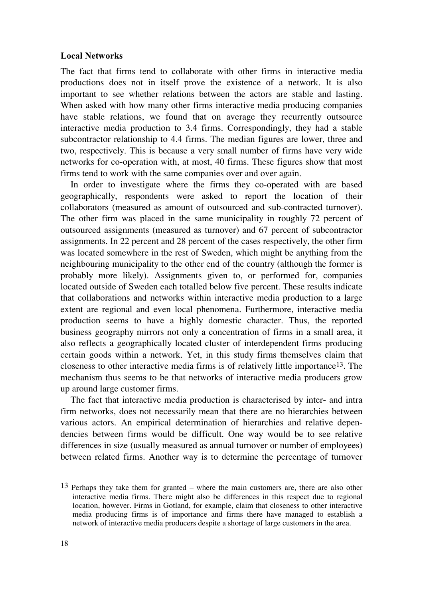#### **Local Networks**

The fact that firms tend to collaborate with other firms in interactive media productions does not in itself prove the existence of a network. It is also important to see whether relations between the actors are stable and lasting. When asked with how many other firms interactive media producing companies have stable relations, we found that on average they recurrently outsource interactive media production to 3.4 firms. Correspondingly, they had a stable subcontractor relationship to 4.4 firms. The median figures are lower, three and two, respectively. This is because a very small number of firms have very wide networks for co-operation with, at most, 40 firms. These figures show that most firms tend to work with the same companies over and over again.

In order to investigate where the firms they co-operated with are based geographically, respondents were asked to report the location of their collaborators (measured as amount of outsourced and sub-contracted turnover). The other firm was placed in the same municipality in roughly 72 percent of outsourced assignments (measured as turnover) and 67 percent of subcontractor assignments. In 22 percent and 28 percent of the cases respectively, the other firm was located somewhere in the rest of Sweden, which might be anything from the neighbouring municipality to the other end of the country (although the former is probably more likely). Assignments given to, or performed for, companies located outside of Sweden each totalled below five percent. These results indicate that collaborations and networks within interactive media production to a large extent are regional and even local phenomena. Furthermore, interactive media production seems to have a highly domestic character. Thus, the reported business geography mirrors not only a concentration of firms in a small area, it also reflects a geographically located cluster of interdependent firms producing certain goods within a network. Yet, in this study firms themselves claim that closeness to other interactive media firms is of relatively little importance13. The mechanism thus seems to be that networks of interactive media producers grow up around large customer firms.

The fact that interactive media production is characterised by inter- and intra firm networks, does not necessarily mean that there are no hierarchies between various actors. An empirical determination of hierarchies and relative dependencies between firms would be difficult. One way would be to see relative differences in size (usually measured as annual turnover or number of employees) between related firms. Another way is to determine the percentage of turnover

l

<sup>13</sup> Perhaps they take them for granted – where the main customers are, there are also other interactive media firms. There might also be differences in this respect due to regional location, however. Firms in Gotland, for example, claim that closeness to other interactive media producing firms is of importance and firms there have managed to establish a network of interactive media producers despite a shortage of large customers in the area.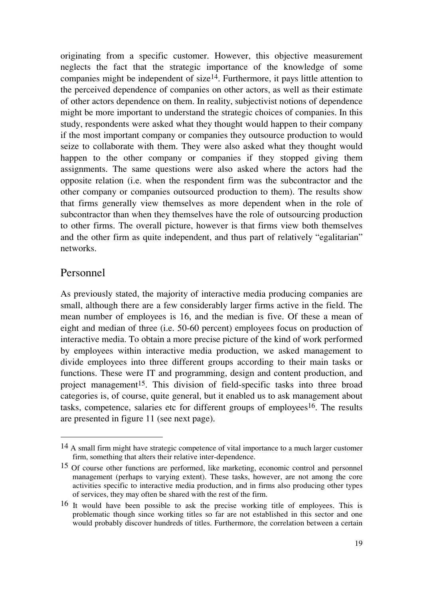originating from a specific customer. However, this objective measurement neglects the fact that the strategic importance of the knowledge of some companies might be independent of size14. Furthermore, it pays little attention to the perceived dependence of companies on other actors, as well as their estimate of other actors dependence on them. In reality, subjectivist notions of dependence might be more important to understand the strategic choices of companies. In this study, respondents were asked what they thought would happen to their company if the most important company or companies they outsource production to would seize to collaborate with them. They were also asked what they thought would happen to the other company or companies if they stopped giving them assignments. The same questions were also asked where the actors had the opposite relation (i.e. when the respondent firm was the subcontractor and the other company or companies outsourced production to them). The results show that firms generally view themselves as more dependent when in the role of subcontractor than when they themselves have the role of outsourcing production to other firms. The overall picture, however is that firms view both themselves and the other firm as quite independent, and thus part of relatively "egalitarian" networks.

# Personnel

l

As previously stated, the majority of interactive media producing companies are small, although there are a few considerably larger firms active in the field. The mean number of employees is 16, and the median is five. Of these a mean of eight and median of three (i.e. 50-60 percent) employees focus on production of interactive media. To obtain a more precise picture of the kind of work performed by employees within interactive media production, we asked management to divide employees into three different groups according to their main tasks or functions. These were IT and programming, design and content production, and project management15. This division of field-specific tasks into three broad categories is, of course, quite general, but it enabled us to ask management about tasks, competence, salaries etc for different groups of employees16. The results are presented in figure 11 (see next page).

<sup>&</sup>lt;sup>14</sup> A small firm might have strategic competence of vital importance to a much larger customer firm, something that alters their relative inter-dependence.

<sup>15</sup> Of course other functions are performed, like marketing, economic control and personnel management (perhaps to varying extent). These tasks, however, are not among the core activities specific to interactive media production, and in firms also producing other types of services, they may often be shared with the rest of the firm.

<sup>16</sup> It would have been possible to ask the precise working title of employees. This is problematic though since working titles so far are not established in this sector and one would probably discover hundreds of titles. Furthermore, the correlation between a certain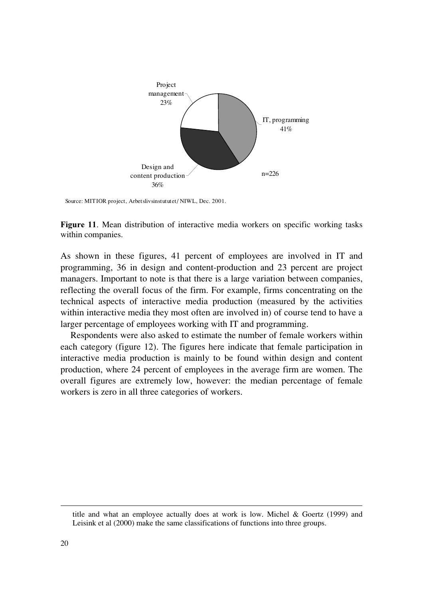

Source: MITIOR project, Arbetslivsinstututet/ NIWL, Dec. 2001.

Figure 11. Mean distribution of interactive media workers on specific working tasks within companies.

As shown in these figures, 41 percent of employees are involved in IT and programming, 36 in design and content-production and 23 percent are project managers. Important to note is that there is a large variation between companies, reflecting the overall focus of the firm. For example, firms concentrating on the technical aspects of interactive media production (measured by the activities within interactive media they most often are involved in) of course tend to have a larger percentage of employees working with IT and programming.

Respondents were also asked to estimate the number of female workers within each category (figure 12). The figures here indicate that female participation in interactive media production is mainly to be found within design and content production, where 24 percent of employees in the average firm are women. The overall figures are extremely low, however: the median percentage of female workers is zero in all three categories of workers.

l

title and what an employee actually does at work is low. Michel & Goertz (1999) and Leisink et al (2000) make the same classifications of functions into three groups.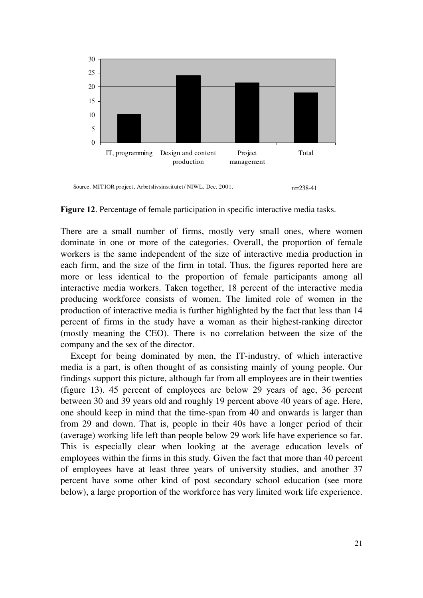

Source. MITIOR project, Arbetslivsinstitutet/ NIWL, Dec. 2001.  $n=238-41$ 

Figure 12. Percentage of female participation in specific interactive media tasks.

There are a small number of firms, mostly very small ones, where women dominate in one or more of the categories. Overall, the proportion of female workers is the same independent of the size of interactive media production in each firm, and the size of the firm in total. Thus, the figures reported here are more or less identical to the proportion of female participants among all interactive media workers. Taken together, 18 percent of the interactive media producing workforce consists of women. The limited role of women in the production of interactive media is further highlighted by the fact that less than 14 percent of firms in the study have a woman as their highest-ranking director (mostly meaning the CEO). There is no correlation between the size of the company and the sex of the director.

Except for being dominated by men, the IT-industry, of which interactive media is a part, is often thought of as consisting mainly of young people. Our findings support this picture, although far from all employees are in their twenties (figure 13). 45 percent of employees are below 29 years of age, 36 percent between 30 and 39 years old and roughly 19 percent above 40 years of age. Here, one should keep in mind that the time-span from 40 and onwards is larger than from 29 and down. That is, people in their 40s have a longer period of their (average) working life left than people below 29 work life have experience so far. This is especially clear when looking at the average education levels of employees within the firms in this study. Given the fact that more than 40 percent of employees have at least three years of university studies, and another 37 percent have some other kind of post secondary school education (see more below), a large proportion of the workforce has very limited work life experience.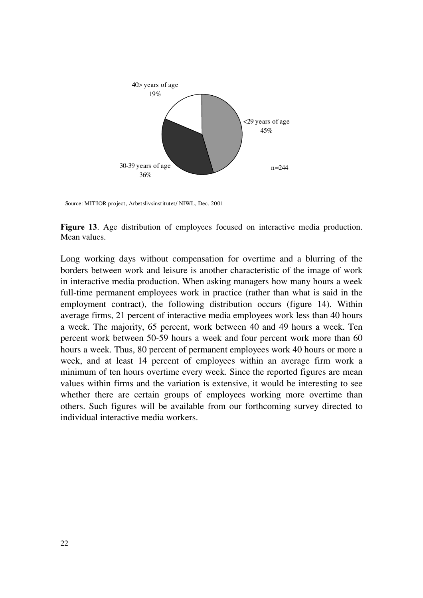

Source: MITIOR project, Arbetslivsinstitutet/ NIWL, Dec. 2001

Figure 13. Age distribution of employees focused on interactive media production. Mean values.

Long working days without compensation for overtime and a blurring of the borders between work and leisure is another characteristic of the image of work in interactive media production. When asking managers how many hours a week full-time permanent employees work in practice (rather than what is said in the employment contract), the following distribution occurs (figure 14). Within average firms, 21 percent of interactive media employees work less than 40 hours a week. The majority, 65 percent, work between 40 and 49 hours a week. Ten percent work between 50-59 hours a week and four percent work more than 60 hours a week. Thus, 80 percent of permanent employees work 40 hours or more a week, and at least 14 percent of employees within an average firm work a minimum of ten hours overtime every week. Since the reported figures are mean values within firms and the variation is extensive, it would be interesting to see whether there are certain groups of employees working more overtime than others. Such figures will be available from our forthcoming survey directed to individual interactive media workers.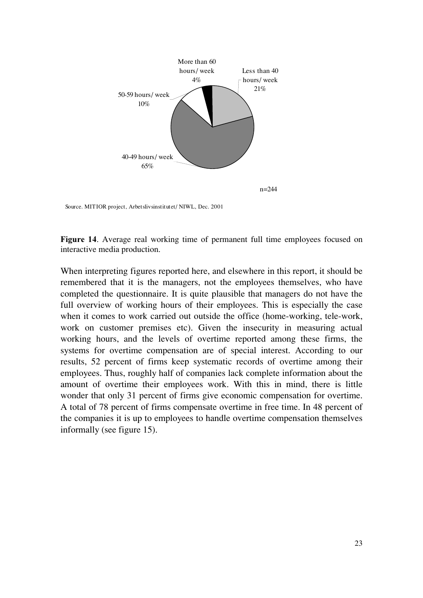

Source. MITIOR project, Arbetslivsinstitutet/ NIWL, Dec. 2001

Figure 14. Average real working time of permanent full time employees focused on interactive media production.

When interpreting figures reported here, and elsewhere in this report, it should be remembered that it is the managers, not the employees themselves, who have completed the questionnaire. It is quite plausible that managers do not have the full overview of working hours of their employees. This is especially the case when it comes to work carried out outside the office (home-working, tele-work, work on customer premises etc). Given the insecurity in measuring actual working hours, and the levels of overtime reported among these firms, the systems for overtime compensation are of special interest. According to our results, 52 percent of firms keep systematic records of overtime among their employees. Thus, roughly half of companies lack complete information about the amount of overtime their employees work. With this in mind, there is little wonder that only 31 percent of firms give economic compensation for overtime. A total of 78 percent of firms compensate overtime in free time. In 48 percent of the companies it is up to employees to handle overtime compensation themselves informally (see figure 15).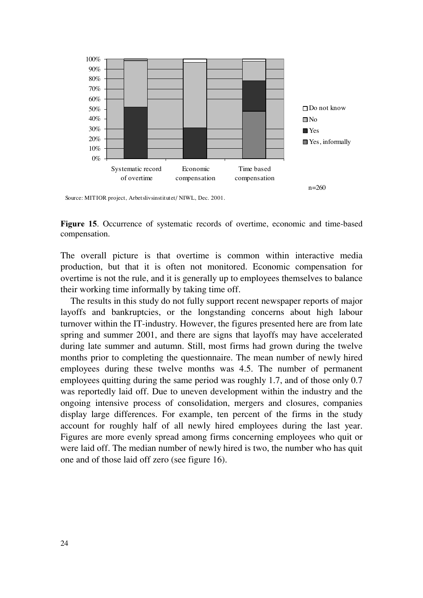

Source: MITIOR project, Arbetslivsinstitutet/ NIWL, Dec. 2001.

Figure 15. Occurrence of systematic records of overtime, economic and time-based compensation.

The overall picture is that overtime is common within interactive media production, but that it is often not monitored. Economic compensation for overtime is not the rule, and it is generally up to employees themselves to balance their working time informally by taking time off.

The results in this study do not fully support recent newspaper reports of major layoffs and bankruptcies, or the longstanding concerns about high labour turnover within the IT-industry. However, the figures presented here are from late spring and summer 2001, and there are signs that layoffs may have accelerated during late summer and autumn. Still, most firms had grown during the twelve months prior to completing the questionnaire. The mean number of newly hired employees during these twelve months was 4.5. The number of permanent employees quitting during the same period was roughly 1.7, and of those only 0.7 was reportedly laid off. Due to uneven development within the industry and the ongoing intensive process of consolidation, mergers and closures, companies display large differences. For example, ten percent of the firms in the study account for roughly half of all newly hired employees during the last year. Figures are more evenly spread among firms concerning employees who quit or were laid off. The median number of newly hired is two, the number who has quit one and of those laid off zero (see figure 16).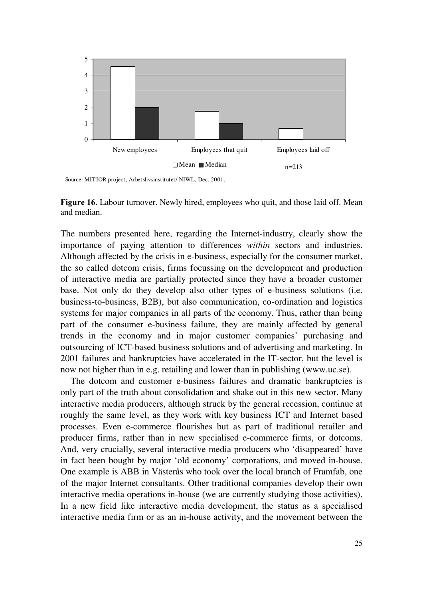

Source: MITIOR project, Arbetslivsinstitutet/ NIWL, Dec. 2001.

Figure 16. Labour turnover. Newly hired, employees who quit, and those laid off. Mean and median.

The numbers presented here, regarding the Internet-industry, clearly show the importance of paying attention to differences within sectors and industries. Although affected by the crisis in e-business, especially for the consumer market, the so called dotcom crisis, firms focussing on the development and production of interactive media are partially protected since they have a broader customer base. Not only do they develop also other types of e-business solutions (i.e. business-to-business, B2B), but also communication, co-ordination and logistics systems for major companies in all parts of the economy. Thus, rather than being part of the consumer e-business failure, they are mainly affected by general trends in the economy and in major customer companies' purchasing and outsourcing of ICT-based business solutions and of advertising and marketing. In 2001 failures and bankruptcies have accelerated in the IT-sector, but the level is now not higher than in e.g. retailing and lower than in publishing (www.uc.se).

The dotcom and customer e-business failures and dramatic bankruptcies is only part of the truth about consolidation and shake out in this new sector. Many interactive media producers, although struck by the general recession, continue at roughly the same level, as they work with key business ICT and Internet based processes. Even e-commerce flourishes but as part of traditional retailer and producer firms, rather than in new specialised e-commerce firms, or dotcoms. And, very crucially, several interactive media producers who 'disappeared' have in fact been bought by major 'old economy' corporations, and moved in-house. One example is ABB in Västerås who took over the local branch of Framfab, one of the major Internet consultants. Other traditional companies develop their own interactive media operations in-house (we are currently studying those activities). In a new field like interactive media development, the status as a specialised interactive media firm or as an in-house activity, and the movement between the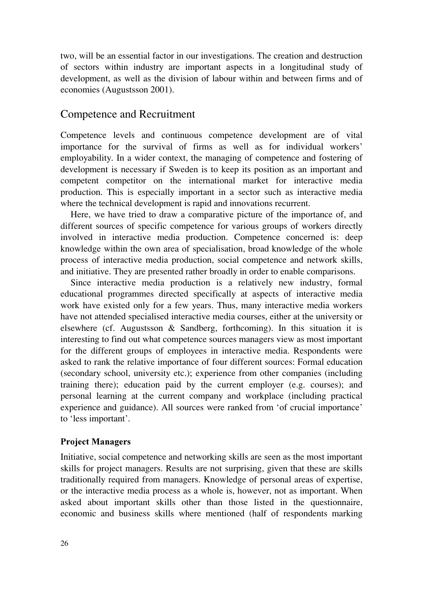two, will be an essential factor in our investigations. The creation and destruction of sectors within industry are important aspects in a longitudinal study of development, as well as the division of labour within and between firms and of economies (Augustsson 2001).

## Competence and Recruitment

Competence levels and continuous competence development are of vital importance for the survival of firms as well as for individual workers' employability. In a wider context, the managing of competence and fostering of development is necessary if Sweden is to keep its position as an important and competent competitor on the international market for interactive media production. This is especially important in a sector such as interactive media where the technical development is rapid and innovations recurrent.

Here, we have tried to draw a comparative picture of the importance of, and different sources of specific competence for various groups of workers directly involved in interactive media production. Competence concerned is: deep knowledge within the own area of specialisation, broad knowledge of the whole process of interactive media production, social competence and network skills, and initiative. They are presented rather broadly in order to enable comparisons.

Since interactive media production is a relatively new industry, formal educational programmes directed specifically at aspects of interactive media work have existed only for a few years. Thus, many interactive media workers have not attended specialised interactive media courses, either at the university or elsewhere (cf. Augustsson & Sandberg, forthcoming). In this situation it is interesting to find out what competence sources managers view as most important for the different groups of employees in interactive media. Respondents were asked to rank the relative importance of four different sources: Formal education (secondary school, university etc.); experience from other companies (including training there); education paid by the current employer (e.g. courses); and personal learning at the current company and workplace (including practical experience and guidance). All sources were ranked from 'of crucial importance' to 'less important'.

#### **Project Managers**

Initiative, social competence and networking skills are seen as the most important skills for project managers. Results are not surprising, given that these are skills traditionally required from managers. Knowledge of personal areas of expertise, or the interactive media process as a whole is, however, not as important. When asked about important skills other than those listed in the questionnaire, economic and business skills where mentioned (half of respondents marking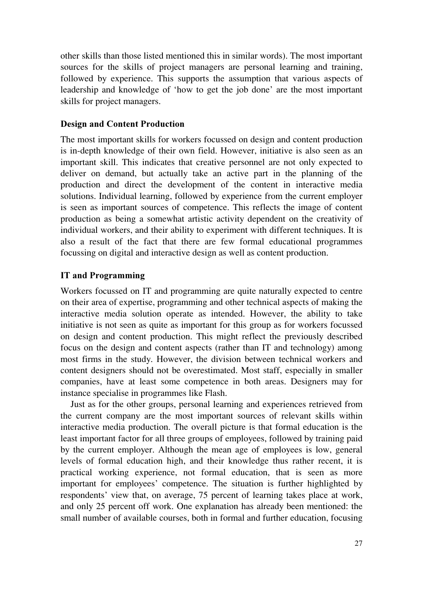other skills than those listed mentioned this in similar words). The most important sources for the skills of project managers are personal learning and training, followed by experience. This supports the assumption that various aspects of leadership and knowledge of 'how to get the job done' are the most important skills for project managers.

## **Design and Content Production**

The most important skills for workers focussed on design and content production is in-depth knowledge of their own field. However, initiative is also seen as an important skill. This indicates that creative personnel are not only expected to deliver on demand, but actually take an active part in the planning of the production and direct the development of the content in interactive media solutions. Individual learning, followed by experience from the current employer is seen as important sources of competence. This reflects the image of content production as being a somewhat artistic activity dependent on the creativity of individual workers, and their ability to experiment with different techniques. It is also a result of the fact that there are few formal educational programmes focussing on digital and interactive design as well as content production.

## **IT** and Programming

Workers focussed on IT and programming are quite naturally expected to centre on their area of expertise, programming and other technical aspects of making the interactive media solution operate as intended. However, the ability to take initiative is not seen as quite as important for this group as for workers focussed on design and content production. This might reflect the previously described focus on the design and content aspects (rather than IT and technology) among most firms in the study. However, the division between technical workers and content designers should not be overestimated. Most staff, especially in smaller companies, have at least some competence in both areas. Designers may for instance specialise in programmes like Flash.

Just as for the other groups, personal learning and experiences retrieved from the current company are the most important sources of relevant skills within interactive media production. The overall picture is that formal education is the least important factor for all three groups of employees, followed by training paid by the current employer. Although the mean age of employees is low, general levels of formal education high, and their knowledge thus rather recent, it is practical working experience, not formal education, that is seen as more important for employees' competence. The situation is further highlighted by respondents' view that, on average, 75 percent of learning takes place at work, and only 25 percent off work. One explanation has already been mentioned: the small number of available courses, both in formal and further education, focusing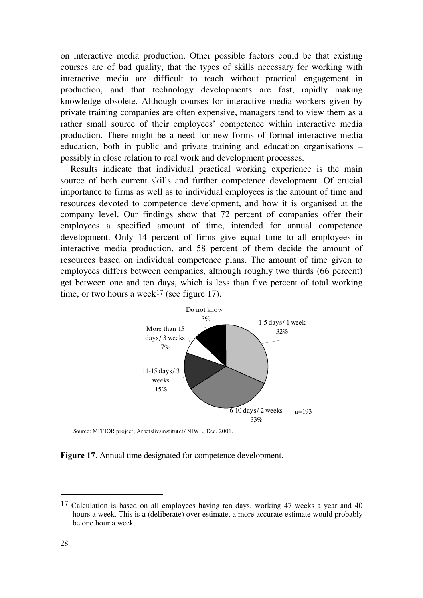on interactive media production. Other possible factors could be that existing courses are of bad quality, that the types of skills necessary for working with interactive media are difficult to teach without practical engagement in production, and that technology developments are fast, rapidly making knowledge obsolete. Although courses for interactive media workers given by private training companies are often expensive, managers tend to view them as a rather small source of their employees' competence within interactive media production. There might be a need for new forms of formal interactive media education, both in public and private training and education organisations – possibly in close relation to real work and development processes.

Results indicate that individual practical working experience is the main source of both current skills and further competence development. Of crucial importance to firms as well as to individual employees is the amount of time and resources devoted to competence development, and how it is organised at the company level. Our findings show that 72 percent of companies offer their employees a specified amount of time, intended for annual competence development. Only 14 percent of firms give equal time to all employees in interactive media production, and 58 percent of them decide the amount of resources based on individual competence plans. The amount of time given to employees differs between companies, although roughly two thirds (66 percent) get between one and ten days, which is less than five percent of total working time, or two hours a week<sup>17</sup> (see figure 17).



Source: MITIOR project, Arbetslivsinstitutet/ NIWL, Dec. 2001.

Figure 17. Annual time designated for competence development.

l

<sup>&</sup>lt;sup>17</sup> Calculation is based on all employees having ten days, working 47 weeks a year and 40 hours a week. This is a (deliberate) over estimate, a more accurate estimate would probably be one hour a week.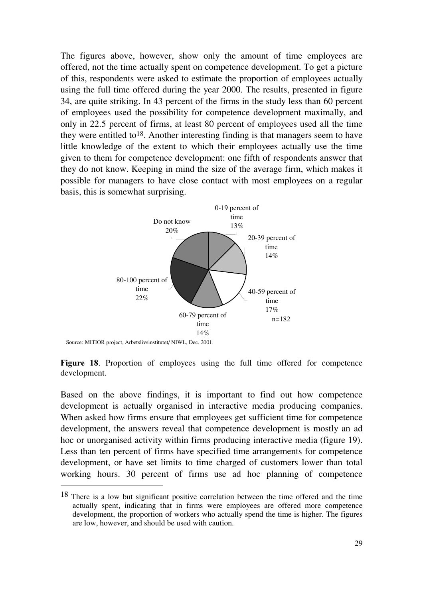The figures above, however, show only the amount of time employees are offered, not the time actually spent on competence development. To get a picture of this, respondents were asked to estimate the proportion of employees actually using the full time offered during the year 2000. The results, presented in figure 34, are quite striking. In 43 percent of the firms in the study less than 60 percent of employees used the possibility for competence development maximally, and only in 22.5 percent of firms, at least 80 percent of employees used all the time they were entitled to<sup>18</sup>. Another interesting finding is that managers seem to have little knowledge of the extent to which their employees actually use the time given to them for competence development: one fifth of respondents answer that they do not know. Keeping in mind the size of the average firm, which makes it possible for managers to have close contact with most employees on a regular basis, this is somewhat surprising.



Source: MITIOR project, Arbetslivsinstitutet/ NIWL, Dec. 2001.

l

Figure 18. Proportion of employees using the full time offered for competence development.

Based on the above findings, it is important to find out how competence development is actually organised in interactive media producing companies. When asked how firms ensure that employees get sufficient time for competence development, the answers reveal that competence development is mostly an ad hoc or unorganised activity within firms producing interactive media (figure 19). Less than ten percent of firms have specified time arrangements for competence development, or have set limits to time charged of customers lower than total working hours. 30 percent of firms use ad hoc planning of competence

<sup>18</sup> There is a low but significant positive correlation between the time offered and the time actually spent, indicating that in firms were employees are offered more competence development, the proportion of workers who actually spend the time is higher. The figures are low, however, and should be used with caution.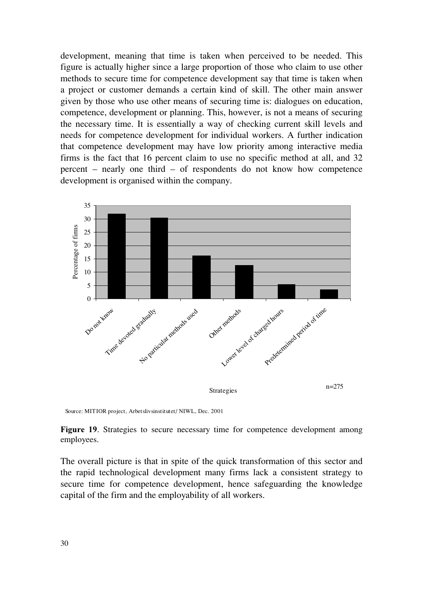development, meaning that time is taken when perceived to be needed. This figure is actually higher since a large proportion of those who claim to use other methods to secure time for competence development say that time is taken when a project or customer demands a certain kind of skill. The other main answer given by those who use other means of securing time is: dialogues on education, competence, development or planning. This, however, is not a means of securing the necessary time. It is essentially a way of checking current skill levels and needs for competence development for individual workers. A further indication that competence development may have low priority among interactive media firms is the fact that 16 percent claim to use no specific method at all, and 32 percent – nearly one third – of respondents do not know how competence development is organised within the company.



Source: MITIOR project, Arbetslivsinstitutet/ NIWL, Dec. 2001

Figure 19. Strategies to secure necessary time for competence development among employees.

The overall picture is that in spite of the quick transformation of this sector and the rapid technological development many firms lack a consistent strategy to secure time for competence development, hence safeguarding the knowledge capital of the firm and the employability of all workers.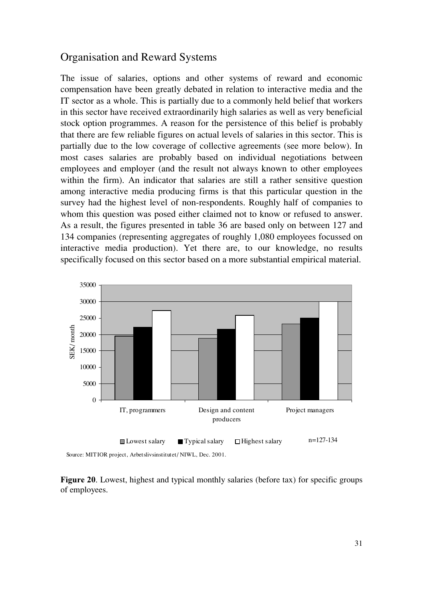# Organisation and Reward Systems

The issue of salaries, options and other systems of reward and economic compensation have been greatly debated in relation to interactive media and the IT sector as a whole. This is partially due to a commonly held belief that workers in this sector have received extraordinarily high salaries as well as very beneficial stock option programmes. A reason for the persistence of this belief is probably that there are few reliable figures on actual levels of salaries in this sector. This is partially due to the low coverage of collective agreements (see more below). In most cases salaries are probably based on individual negotiations between employees and employer (and the result not always known to other employees within the firm). An indicator that salaries are still a rather sensitive question among interactive media producing firms is that this particular question in the survey had the highest level of non-respondents. Roughly half of companies to whom this question was posed either claimed not to know or refused to answer. As a result, the figures presented in table 36 are based only on between 127 and 134 companies (representing aggregates of roughly 1,080 employees focussed on interactive media production). Yet there are, to our knowledge, no results specifically focused on this sector based on a more substantial empirical material.



Source: MITIOR project, Arbetslivsinstitutet/ NIWL, Dec. 2001.

Figure 20. Lowest, highest and typical monthly salaries (before tax) for specific groups of employees.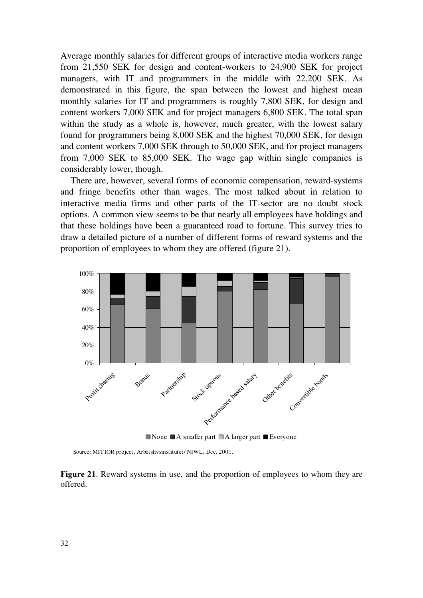Average monthly salaries for different groups of interactive media workers range from 21,550 SEK for design and content-workers to 24,900 SEK for project managers, with IT and programmers in the middle with 22,200 SEK. As demonstrated in this figure, the span between the lowest and highest mean monthly salaries for IT and programmers is roughly 7,800 SEK, for design and content workers 7,000 SEK and for project managers 6,800 SEK. The total span within the study as a whole is, however, much greater, with the lowest salary found for programmers being 8,000 SEK and the highest 70,000 SEK, for design and content workers 7,000 SEK through to 50,000 SEK, and for project managers from 7,000 SEK to 85,000 SEK. The wage gap within single companies is considerably lower, though.

There are, however, several forms of economic compensation, reward-systems and fringe benefits other than wages. The most talked about in relation to interactive media firms and other parts of the IT-sector are no doubt stock options. A common view seems to be that nearly all employees have holdings and that these holdings have been a guaranteed road to fortune. This survey tries to draw a detailed picture of a number of different forms of reward systems and the proportion of employees to whom they are offered (figure 21).



None  $\blacksquare$  A smaller part  $\blacksquare$  A larger part  $\blacksquare$  Everyone

Source: MITIOR project, Arbetslivsinstitutet/ NIWL, Dec. 2001.

Figure 21. Reward systems in use, and the proportion of employees to whom they are offered.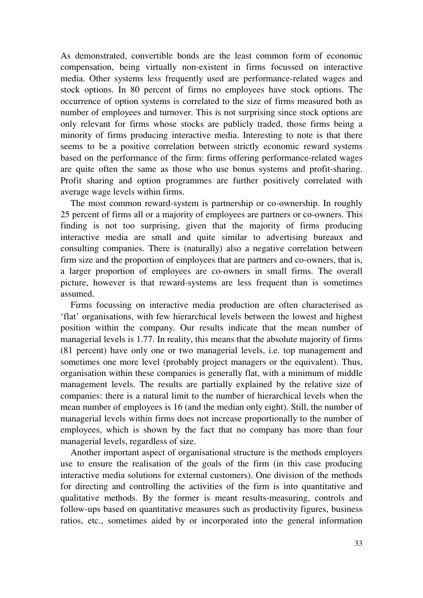As demonstrated, convertible bonds are the least common form of economic compensation, being virtually non-existent in firms focussed on interactive media. Other systems less frequently used are performance-related wages and stock options. In 80 percent of firms no employees have stock options. The occurrence of option systems is correlated to the size of firms measured both as number of employees and turnover. This is not surprising since stock options are only relevant for firms whose stocks are publicly traded, those firms being a minority of firms producing interactive media. Interesting to note is that there seems to be a positive correlation between strictly economic reward systems based on the performance of the firm: firms offering performance-related wages are quite often the same as those who use bonus systems and profit-sharing. Profit sharing and option programmes are further positively correlated with average wage levels within firms.

The most common reward-system is partnership or co-ownership. In roughly 25 percent of firms all or a majority of employees are partners or co-owners. This finding is not too surprising, given that the majority of firms producing interactive media are small and quite similar to advertising bureaux and consulting companies. There is (naturally) also a negative correlation between firm size and the proportion of employees that are partners and co-owners, that is, a larger proportion of employees are co-owners in small firms. The overall picture, however is that reward-systems are less frequent than is sometimes assumed.

Firms focussing on interactive media production are often characterised as 'flat' organisations, with few hierarchical levels between the lowest and highest position within the company. Our results indicate that the mean number of managerial levels is 1.77. In reality, this means that the absolute majority of firms (81 percent) have only one or two managerial levels, i.e. top management and sometimes one more level (probably project managers or the equivalent). Thus, organisation within these companies is generally flat, with a minimum of middle management levels. The results are partially explained by the relative size of companies: there is a natural limit to the number of hierarchical levels when the mean number of employees is 16 (and the median only eight). Still, the number of managerial levels within firms does not increase proportionally to the number of employees, which is shown by the fact that no company has more than four managerial levels, regardless of size.

Another important aspect of organisational structure is the methods employers use to ensure the realisation of the goals of the firm (in this case producing interactive media solutions for external customers). One division of the methods for directing and controlling the activities of the firm is into quantitative and qualitative methods. By the former is meant results-measuring, controls and follow-ups based on quantitative measures such as productivity figures, business ratios, etc., sometimes aided by or incorporated into the general information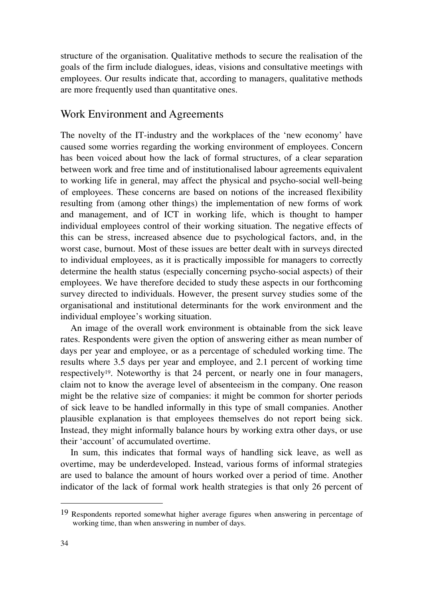structure of the organisation. Qualitative methods to secure the realisation of the goals of the firm include dialogues, ideas, visions and consultative meetings with employees. Our results indicate that, according to managers, qualitative methods are more frequently used than quantitative ones.

#### Work Environment and Agreements

The novelty of the IT-industry and the workplaces of the 'new economy' have caused some worries regarding the working environment of employees. Concern has been voiced about how the lack of formal structures, of a clear separation between work and free time and of institutionalised labour agreements equivalent to working life in general, may affect the physical and psycho-social well-being of employees. These concerns are based on notions of the increased flexibility resulting from (among other things) the implementation of new forms of work and management, and of ICT in working life, which is thought to hamper individual employees control of their working situation. The negative effects of this can be stress, increased absence due to psychological factors, and, in the worst case, burnout. Most of these issues are better dealt with in surveys directed to individual employees, as it is practically impossible for managers to correctly determine the health status (especially concerning psycho-social aspects) of their employees. We have therefore decided to study these aspects in our forthcoming survey directed to individuals. However, the present survey studies some of the organisational and institutional determinants for the work environment and the individual employee's working situation.

An image of the overall work environment is obtainable from the sick leave rates. Respondents were given the option of answering either as mean number of days per year and employee, or as a percentage of scheduled working time. The results where 3.5 days per year and employee, and 2.1 percent of working time respectively<sup>19</sup>. Noteworthy is that 24 percent, or nearly one in four managers, claim not to know the average level of absenteeism in the company. One reason might be the relative size of companies: it might be common for shorter periods of sick leave to be handled informally in this type of small companies. Another plausible explanation is that employees themselves do not report being sick. Instead, they might informally balance hours by working extra other days, or use their 'account' of accumulated overtime.

In sum, this indicates that formal ways of handling sick leave, as well as overtime, may be underdeveloped. Instead, various forms of informal strategies are used to balance the amount of hours worked over a period of time. Another indicator of the lack of formal work health strategies is that only 26 percent of

l

<sup>19</sup> Respondents reported somewhat higher average figures when answering in percentage of working time, than when answering in number of days.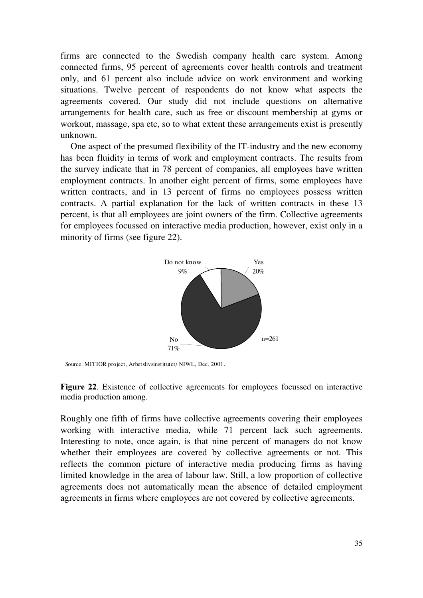firms are connected to the Swedish company health care system. Among connected firms, 95 percent of agreements cover health controls and treatment only, and 61 percent also include advice on work environment and working situations. Twelve percent of respondents do not know what aspects the agreements covered. Our study did not include questions on alternative arrangements for health care, such as free or discount membership at gyms or workout, massage, spa etc, so to what extent these arrangements exist is presently unknown.

One aspect of the presumed flexibility of the IT-industry and the new economy has been fluidity in terms of work and employment contracts. The results from the survey indicate that in 78 percent of companies, all employees have written employment contracts. In another eight percent of firms, some employees have written contracts, and in 13 percent of firms no employees possess written contracts. A partial explanation for the lack of written contracts in these 13 percent, is that all employees are joint owners of the firm. Collective agreements for employees focussed on interactive media production, however, exist only in a minority of firms (see figure 22).



Source. MITIOR project, Arbetslivsinstitutet/ NIWL, Dec. 2001.

Figure 22. Existence of collective agreements for employees focussed on interactive media production among.

Roughly one fifth of firms have collective agreements covering their employees working with interactive media, while 71 percent lack such agreements. Interesting to note, once again, is that nine percent of managers do not know whether their employees are covered by collective agreements or not. This reflects the common picture of interactive media producing firms as having limited knowledge in the area of labour law. Still, a low proportion of collective agreements does not automatically mean the absence of detailed employment agreements in firms where employees are not covered by collective agreements.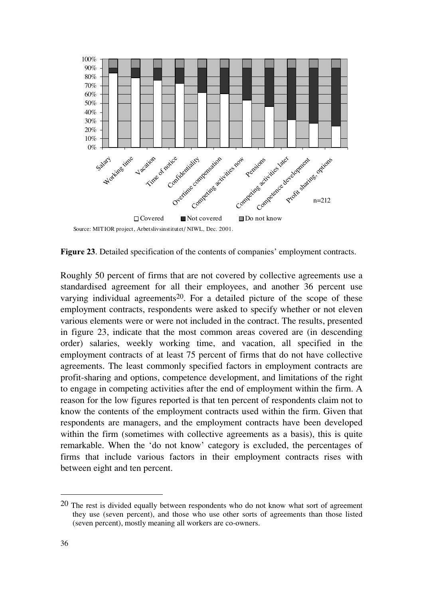

Figure 23. Detailed specification of the contents of companies' employment contracts.

Roughly 50 percent of firms that are not covered by collective agreements use a standardised agreement for all their employees, and another 36 percent use varying individual agreements<sup>20</sup>. For a detailed picture of the scope of these employment contracts, respondents were asked to specify whether or not eleven various elements were or were not included in the contract. The results, presented in figure 23, indicate that the most common areas covered are (in descending order) salaries, weekly working time, and vacation, all specified in the employment contracts of at least 75 percent of firms that do not have collective agreements. The least commonly specified factors in employment contracts are profit-sharing and options, competence development, and limitations of the right to engage in competing activities after the end of employment within the firm. A reason for the low figures reported is that ten percent of respondents claim not to know the contents of the employment contracts used within the firm. Given that respondents are managers, and the employment contracts have been developed within the firm (sometimes with collective agreements as a basis), this is quite remarkable. When the 'do not know' category is excluded, the percentages of firms that include various factors in their employment contracts rises with between eight and ten percent.

l

<sup>&</sup>lt;sup>20</sup> The rest is divided equally between respondents who do not know what sort of agreement they use (seven percent), and those who use other sorts of agreements than those listed (seven percent), mostly meaning all workers are co-owners.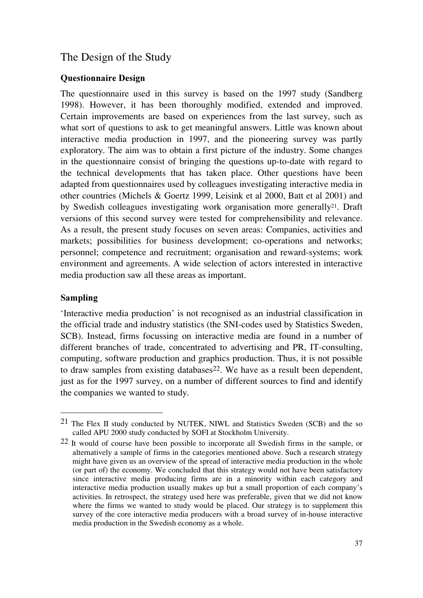# The Design of the Study

## **Questionnaire Design**

The questionnaire used in this survey is based on the 1997 study (Sandberg 1998). However, it has been thoroughly modified, extended and improved. Certain improvements are based on experiences from the last survey, such as what sort of questions to ask to get meaningful answers. Little was known about interactive media production in 1997, and the pioneering survey was partly exploratory. The aim was to obtain a first picture of the industry. Some changes in the questionnaire consist of bringing the questions up-to-date with regard to the technical developments that has taken place. Other questions have been adapted from questionnaires used by colleagues investigating interactive media in other countries (Michels & Goertz 1999, Leisink et al 2000, Batt et al 2001) and by Swedish colleagues investigating work organisation more generally21. Draft versions of this second survey were tested for comprehensibility and relevance. As a result, the present study focuses on seven areas: Companies, activities and markets; possibilities for business development; co-operations and networks; personnel; competence and recruitment; organisation and reward-systems; work environment and agreements. A wide selection of actors interested in interactive media production saw all these areas as important.

#### **Sampling**

l

'Interactive media production' is not recognised as an industrial classification in the official trade and industry statistics (the SNI-codes used by Statistics Sweden, SCB). Instead, firms focussing on interactive media are found in a number of different branches of trade, concentrated to advertising and PR, IT-consulting, computing, software production and graphics production. Thus, it is not possible to draw samples from existing databases<sup>22</sup>. We have as a result been dependent, just as for the 1997 survey, on a number of different sources to find and identify the companies we wanted to study.

<sup>21</sup> The Flex II study conducted by NUTEK, NIWL and Statistics Sweden (SCB) and the so called APU 2000 study conducted by SOFI at Stockholm University.

 $22$  It would of course have been possible to incorporate all Swedish firms in the sample, or alternatively a sample of firms in the categories mentioned above. Such a research strategy might have given us an overview of the spread of interactive media production in the whole (or part of) the economy. We concluded that this strategy would not have been satisfactory since interactive media producing firms are in a minority within each category and interactive media production usually makes up but a small proportion of each company's activities. In retrospect, the strategy used here was preferable, given that we did not know where the firms we wanted to study would be placed. Our strategy is to supplement this survey of the core interactive media producers with a broad survey of in-house interactive media production in the Swedish economy as a whole.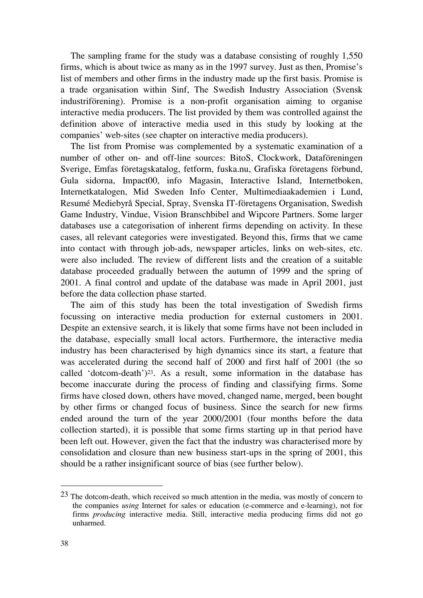The sampling frame for the study was a database consisting of roughly 1,550 firms, which is about twice as many as in the 1997 survey. Just as then, Promise's list of members and other firms in the industry made up the first basis. Promise is a trade organisation within Sinf, The Swedish Industry Association (Svensk industriförening). Promise is a non-profit organisation aiming to organise interactive media producers. The list provided by them was controlled against the definition above of interactive media used in this study by looking at the companies' web-sites (see chapter on interactive media producers).

The list from Promise was complemented by a systematic examination of a number of other on- and off-line sources: BitoS, Clockwork, Dataföreningen Sverige, Emfas företagskatalog, fetform, fuska.nu, Grafiska företagens förbund, Gula sidorna, Impact00, info Magasin, Interactive Island, Internetboken, Internetkatalogen, Mid Sweden Info Center, Multimediaakademien i Lund, Resumé Mediebyrå Special, Spray, Svenska IT-företagens Organisation, Swedish Game Industry, Vindue, Vision Branschbibel and Wipcore Partners. Some larger databases use a categorisation of inherent firms depending on activity. In these cases, all relevant categories were investigated. Beyond this, firms that we came into contact with through job-ads, newspaper articles, links on web-sites, etc. were also included. The review of different lists and the creation of a suitable database proceeded gradually between the autumn of 1999 and the spring of 2001. A final control and update of the database was made in April 2001, just before the data collection phase started.

The aim of this study has been the total investigation of Swedish firms focussing on interactive media production for external customers in 2001. Despite an extensive search, it is likely that some firms have not been included in the database, especially small local actors. Furthermore, the interactive media industry has been characterised by high dynamics since its start, a feature that was accelerated during the second half of 2000 and first half of 2001 (the so called 'dotcom-death')23. As a result, some information in the database has become inaccurate during the process of finding and classifying firms. Some firms have closed down, others have moved, changed name, merged, been bought by other firms or changed focus of business. Since the search for new firms ended around the turn of the year 2000/2001 (four months before the data collection started), it is possible that some firms starting up in that period have been left out. However, given the fact that the industry was characterised more by consolidation and closure than new business start-ups in the spring of 2001, this should be a rather insignificant source of bias (see further below).

l

 $23$  The dotcom-death, which received so much attention in the media, was mostly of concern to the companies using Internet for sales or education (e-commerce and e-learning), not for firms *producing* interactive media. Still, interactive media producing firms did not go unharmed.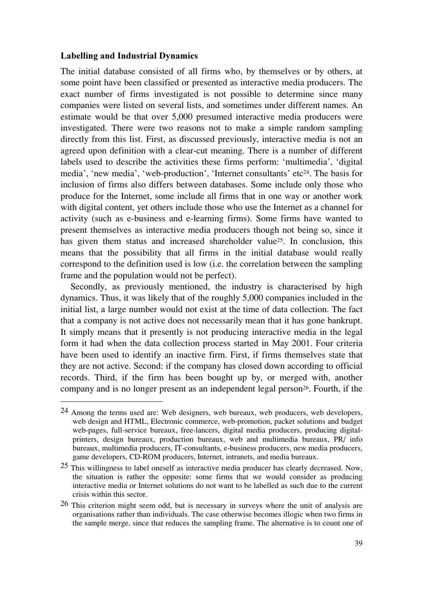#### **Labelling and Industrial Dynamics**

 $\overline{a}$ 

The initial database consisted of all firms who, by themselves or by others, at some point have been classified or presented as interactive media producers. The exact number of firms investigated is not possible to determine since many companies were listed on several lists, and sometimes under different names. An estimate would be that over 5,000 presumed interactive media producers were investigated. There were two reasons not to make a simple random sampling directly from this list. First, as discussed previously, interactive media is not an agreed upon definition with a clear-cut meaning. There is a number of different labels used to describe the activities these firms perform: 'multimedia', 'digital media', 'new media', 'web-production', 'Internet consultants' etc<sup>24</sup>. The basis for inclusion of firms also differs between databases. Some include only those who produce for the Internet, some include all firms that in one way or another work with digital content, yet others include those who use the Internet as a channel for activity (such as e-business and e-learning firms). Some firms have wanted to present themselves as interactive media producers though not being so, since it has given them status and increased shareholder value<sup>25</sup>. In conclusion, this means that the possibility that all firms in the initial database would really correspond to the definition used is low (i.e. the correlation between the sampling frame and the population would not be perfect).

Secondly, as previously mentioned, the industry is characterised by high dynamics. Thus, it was likely that of the roughly 5,000 companies included in the initial list, a large number would not exist at the time of data collection. The fact that a company is not active does not necessarily mean that it has gone bankrupt. It simply means that it presently is not producing interactive media in the legal form it had when the data collection process started in May 2001. Four criteria have been used to identify an inactive firm. First, if firms themselves state that they are not active. Second: if the company has closed down according to official records. Third, if the firm has been bought up by, or merged with, another company and is no longer present as an independent legal person<sup>26</sup>. Fourth, if the

<sup>&</sup>lt;sup>24</sup> Among the terms used are: Web designers, web bureaux, web producers, web developers, web design and HTML, Electronic commerce, web-promotion, packet solutions and budget web-pages, full-service bureaux, free-lancers, digital media producers, producing digitalprinters, design bureaux, production bureaux, web and multimedia bureaux, PR/ info bureaux, multimedia producers, IT-consultants, e-business producers, new media producers, game developers, CD-ROM producers, Internet, intranets, and media bureaux.

<sup>25</sup> This willingness to label oneself as interactive media producer has clearly decreased. Now, the situation is rather the opposite: some firms that we would consider as producing interactive media or Internet solutions do not want to be labelled as such due to the current crisis within this sector.

 $26$  This criterion might seem odd, but is necessary in surveys where the unit of analysis are organisations rather than individuals. The case otherwise becomes illogic when two firms in the sample merge, since that reduces the sampling frame. The alternative is to count one of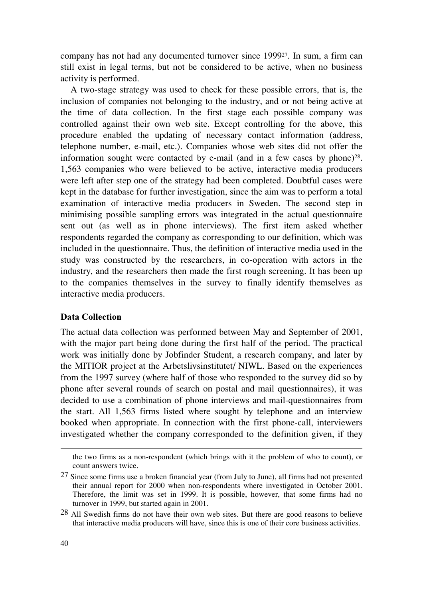company has not had any documented turnover since 199927. In sum, a firm can still exist in legal terms, but not be considered to be active, when no business activity is performed.

A two-stage strategy was used to check for these possible errors, that is, the inclusion of companies not belonging to the industry, and or not being active at the time of data collection. In the first stage each possible company was controlled against their own web site. Except controlling for the above, this procedure enabled the updating of necessary contact information (address, telephone number, e-mail, etc.). Companies whose web sites did not offer the information sought were contacted by e-mail (and in a few cases by phone)28. 1,563 companies who were believed to be active, interactive media producers were left after step one of the strategy had been completed. Doubtful cases were kept in the database for further investigation, since the aim was to perform a total examination of interactive media producers in Sweden. The second step in minimising possible sampling errors was integrated in the actual questionnaire sent out (as well as in phone interviews). The first item asked whether respondents regarded the company as corresponding to our definition, which was included in the questionnaire. Thus, the definition of interactive media used in the study was constructed by the researchers, in co-operation with actors in the industry, and the researchers then made the first rough screening. It has been up to the companies themselves in the survey to finally identify themselves as interactive media producers.

#### **Data Collection**

The actual data collection was performed between May and September of 2001, with the major part being done during the first half of the period. The practical work was initially done by Jobfinder Student, a research company, and later by the MITIOR project at the Arbetslivsinstitutet/ NIWL. Based on the experiences from the 1997 survey (where half of those who responded to the survey did so by phone after several rounds of search on postal and mail questionnaires), it was decided to use a combination of phone interviews and mail-questionnaires from the start. All 1,563 firms listed where sought by telephone and an interview booked when appropriate. In connection with the first phone-call, interviewers investigated whether the company corresponded to the definition given, if they

 $\overline{a}$ 

the two firms as a non-respondent (which brings with it the problem of who to count), or count answers twice.

<sup>27</sup> Since some firms use a broken financial year (from July to June), all firms had not presented their annual report for 2000 when non-respondents where investigated in October 2001. Therefore, the limit was set in 1999. It is possible, however, that some firms had no turnover in 1999, but started again in 2001.

<sup>28</sup> All Swedish firms do not have their own web sites. But there are good reasons to believe that interactive media producers will have, since this is one of their core business activities.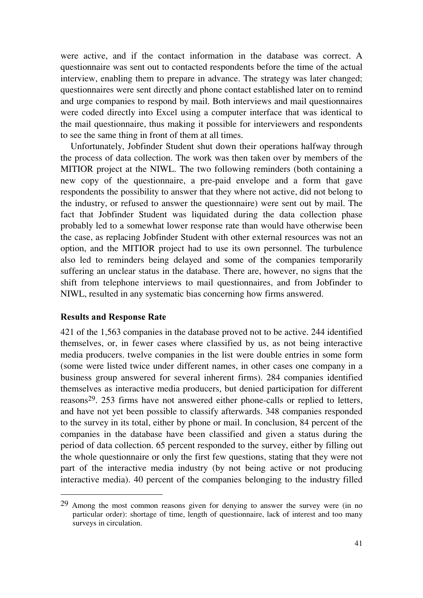were active, and if the contact information in the database was correct. A questionnaire was sent out to contacted respondents before the time of the actual interview, enabling them to prepare in advance. The strategy was later changed; questionnaires were sent directly and phone contact established later on to remind and urge companies to respond by mail. Both interviews and mail questionnaires were coded directly into Excel using a computer interface that was identical to the mail questionnaire, thus making it possible for interviewers and respondents to see the same thing in front of them at all times.

Unfortunately, Jobfinder Student shut down their operations halfway through the process of data collection. The work was then taken over by members of the MITIOR project at the NIWL. The two following reminders (both containing a new copy of the questionnaire, a pre-paid envelope and a form that gave respondents the possibility to answer that they where not active, did not belong to the industry, or refused to answer the questionnaire) were sent out by mail. The fact that Jobfinder Student was liquidated during the data collection phase probably led to a somewhat lower response rate than would have otherwise been the case, as replacing Jobfinder Student with other external resources was not an option, and the MITIOR project had to use its own personnel. The turbulence also led to reminders being delayed and some of the companies temporarily suffering an unclear status in the database. There are, however, no signs that the shift from telephone interviews to mail questionnaires, and from Jobfinder to NIWL, resulted in any systematic bias concerning how firms answered.

#### **Results and Response Rate**

 $\overline{a}$ 

421 of the 1,563 companies in the database proved not to be active. 244 identified themselves, or, in fewer cases where classified by us, as not being interactive media producers. twelve companies in the list were double entries in some form (some were listed twice under different names, in other cases one company in a business group answered for several inherent firms). 284 companies identified themselves as interactive media producers, but denied participation for different reasons29. 253 firms have not answered either phone-calls or replied to letters, and have not yet been possible to classify afterwards. 348 companies responded to the survey in its total, either by phone or mail. In conclusion, 84 percent of the companies in the database have been classified and given a status during the period of data collection. 65 percent responded to the survey, either by filling out the whole questionnaire or only the first few questions, stating that they were not part of the interactive media industry (by not being active or not producing interactive media). 40 percent of the companies belonging to the industry filled

<sup>29</sup> Among the most common reasons given for denying to answer the survey were (in no particular order): shortage of time, length of questionnaire, lack of interest and too many surveys in circulation.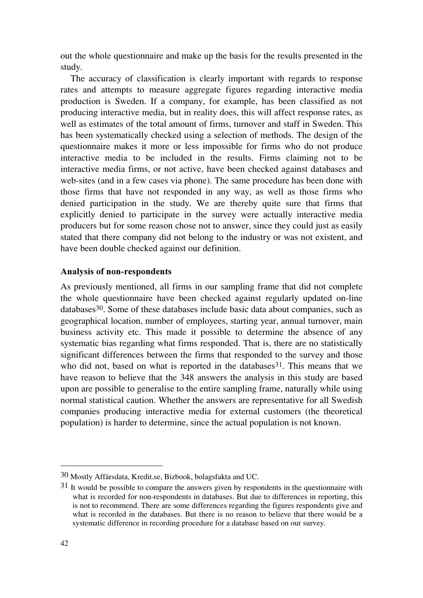out the whole questionnaire and make up the basis for the results presented in the study.

The accuracy of classification is clearly important with regards to response rates and attempts to measure aggregate figures regarding interactive media production is Sweden. If a company, for example, has been classified as not producing interactive media, but in reality does, this will affect response rates, as well as estimates of the total amount of firms, turnover and staff in Sweden. This has been systematically checked using a selection of methods. The design of the questionnaire makes it more or less impossible for firms who do not produce interactive media to be included in the results. Firms claiming not to be interactive media firms, or not active, have been checked against databases and web-sites (and in a few cases via phone). The same procedure has been done with those firms that have not responded in any way, as well as those firms who denied participation in the study. We are thereby quite sure that firms that explicitly denied to participate in the survey were actually interactive media producers but for some reason chose not to answer, since they could just as easily stated that there company did not belong to the industry or was not existent, and have been double checked against our definition.

#### **Analysis of non-respondents**

As previously mentioned, all firms in our sampling frame that did not complete the whole questionnaire have been checked against regularly updated on-line databases30. Some of these databases include basic data about companies, such as geographical location, number of employees, starting year, annual turnover, main business activity etc. This made it possible to determine the absence of any systematic bias regarding what firms responded. That is, there are no statistically significant differences between the firms that responded to the survey and those who did not, based on what is reported in the databases  $31$ . This means that we have reason to believe that the 348 answers the analysis in this study are based upon are possible to generalise to the entire sampling frame, naturally while using normal statistical caution. Whether the answers are representative for all Swedish companies producing interactive media for external customers (the theoretical population) is harder to determine, since the actual population is not known.

 $\overline{a}$ 

<sup>30</sup> Mostly Affärsdata, Kredit.se, Bizbook, bolagsfakta and UC.

<sup>&</sup>lt;sup>31</sup> It would be possible to compare the answers given by respondents in the questionnaire with what is recorded for non-respondents in databases. But due to differences in reporting, this is not to recommend. There are some differences regarding the figures respondents give and what is recorded in the databases. But there is no reason to believe that there would be a systematic difference in recording procedure for a database based on our survey.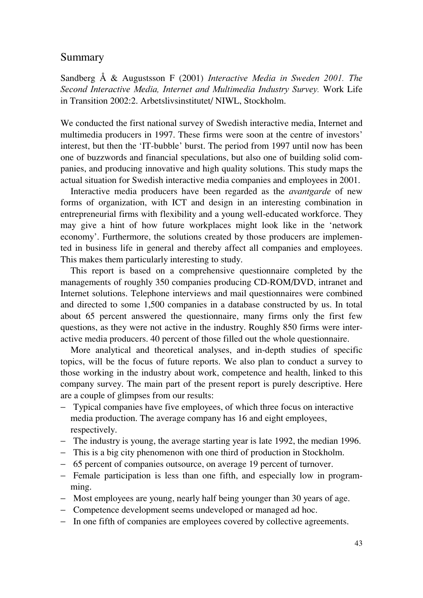#### Summary

Sandberg  $\AA$  & Augustsson F (2001) Interactive Media in Sweden 2001. The Second Interactive Media, Internet and Multimedia Industry Survey. Work Life in Transition 2002:2. Arbetslivsinstitutet/ NIWL, Stockholm.

We conducted the first national survey of Swedish interactive media, Internet and multimedia producers in 1997. These firms were soon at the centre of investors' interest, but then the 'IT-bubble' burst. The period from 1997 until now has been one of buzzwords and financial speculations, but also one of building solid companies, and producing innovative and high quality solutions. This study maps the actual situation for Swedish interactive media companies and employees in 2001.

Interactive media producers have been regarded as the *avantgarde* of new forms of organization, with ICT and design in an interesting combination in entrepreneurial firms with flexibility and a young well-educated workforce. They may give a hint of how future workplaces might look like in the 'network economy'. Furthermore, the solutions created by those producers are implemented in business life in general and thereby affect all companies and employees. This makes them particularly interesting to study.

This report is based on a comprehensive questionnaire completed by the managements of roughly 350 companies producing CD-ROM/DVD, intranet and Internet solutions. Telephone interviews and mail questionnaires were combined and directed to some 1,500 companies in a database constructed by us. In total about 65 percent answered the questionnaire, many firms only the first few questions, as they were not active in the industry. Roughly 850 firms were interactive media producers. 40 percent of those filled out the whole questionnaire.

More analytical and theoretical analyses, and in-depth studies of specific topics, will be the focus of future reports. We also plan to conduct a survey to those working in the industry about work, competence and health, linked to this company survey. The main part of the present report is purely descriptive. Here are a couple of glimpses from our results:

- − Typical companies have five employees, of which three focus on interactive media production. The average company has 16 and eight employees, respectively.
- − The industry is young, the average starting year is late 1992, the median 1996.
- − This is a big city phenomenon with one third of production in Stockholm.
- − 65 percent of companies outsource, on average 19 percent of turnover.
- − Female participation is less than one fifth, and especially low in programming.
- − Most employees are young, nearly half being younger than 30 years of age.
- − Competence development seems undeveloped or managed ad hoc.
- − In one fifth of companies are employees covered by collective agreements.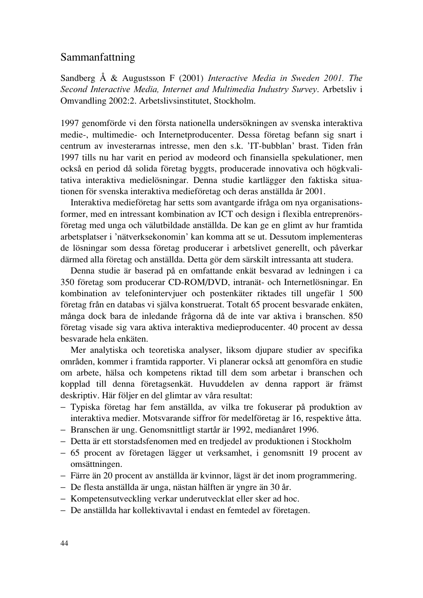### Sammanfattning

Sandberg  $\AA$  & Augustsson F (2001) Interactive Media in Sweden 2001. The Second Interactive Media, Internet and Multimedia Industry Survey. Arbetsliv i Omvandling 2002:2. Arbetslivsinstitutet, Stockholm.

1997 genomförde vi den första nationella undersökningen av svenska interaktiva medie-, multimedie- och Internetproducenter. Dessa företag befann sig snart i centrum av investerarnas intresse, men den s.k. 'IT-bubblan' brast. Tiden från 1997 tills nu har varit en period av modeord och finansiella spekulationer, men också en period då solida företag byggts, producerade innovativa och högkvalitativa interaktiva medielösningar. Denna studie kartlägger den faktiska situationen för svenska interaktiva medieföretag och deras anställda år 2001.

Interaktiva medieföretag har setts som avantgarde ifråga om nya organisationsformer, med en intressant kombination av ICT och design i flexibla entreprenörsföretag med unga och välutbildade anställda. De kan ge en glimt av hur framtida arbetsplatser i 'nätverksekonomin' kan komma att se ut. Dessutom implementeras de lösningar som dessa företag producerar i arbetslivet generellt, och påverkar därmed alla företag och anställda. Detta gör dem särskilt intressanta att studera.

Denna studie är baserad på en omfattande enkät besvarad av ledningen i ca 350 företag som producerar CD-ROM/DVD, intranät- och Internetlösningar. En kombination av telefonintervjuer och postenkäter riktades till ungefär 1 500 företag från en databas vi själva konstruerat. Totalt 65 procent besvarade enkäten, många dock bara de inledande frågorna då de inte var aktiva i branschen. 850 företag visade sig vara aktiva interaktiva medieproducenter. 40 procent av dessa besvarade hela enkäten.

Mer analytiska och teoretiska analyser, liksom djupare studier av specifika områden, kommer i framtida rapporter. Vi planerar också att genomföra en studie om arbete, hälsa och kompetens riktad till dem som arbetar i branschen och kopplad till denna företagsenkät. Huvuddelen av denna rapport är främst deskriptiv. Här följer en del glimtar av våra resultat:

- − Typiska företag har fem anställda, av vilka tre fokuserar på produktion av interaktiva medier. Motsvarande siffror för medelföretag är 16, respektive åtta.
- − Branschen är ung. Genomsnittligt startår är 1992, medianåret 1996.
- − Detta är ett storstadsfenomen med en tredjedel av produktionen i Stockholm
- − 65 procent av företagen lägger ut verksamhet, i genomsnitt 19 procent av omsättningen.
- − Färre än 20 procent av anställda är kvinnor, lägst är det inom programmering.
- − De flesta anställda är unga, nästan hälften är yngre än 30 år.
- − Kompetensutveckling verkar underutvecklat eller sker ad hoc.
- − De anställda har kollektivavtal i endast en femtedel av företagen.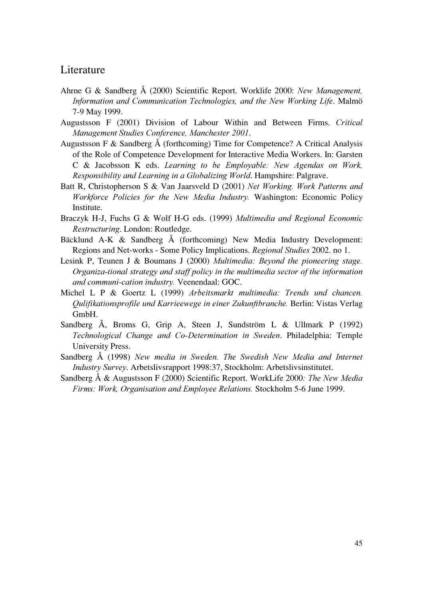#### Literature

- Ahrne G & Sandberg Å (2000) Scientific Report. Worklife 2000: New Management, Information and Communication Technologies, and the New Working Life. Malmö 7-9 May 1999.
- Augustsson F (2001) Division of Labour Within and Between Firms. Critical Management Studies Conference, Manchester 2001.
- Augustsson F & Sandberg  $\AA$  (forthcoming) Time for Competence? A Critical Analysis of the Role of Competence Development for Interactive Media Workers. In: Garsten C & Jacobsson K eds. Learning to be Employable: New Agendas on Work, Responsibility and Learning in a Globalizing World. Hampshire: Palgrave.
- Batt R, Christopherson S & Van Jaarsveld D (2001) Net Working. Work Patterns and Workforce Policies for the New Media Industry. Washington: Economic Policy Institute.
- Braczyk H-J, Fuchs G & Wolf H-G eds. (1999) Multimedia and Regional Economic Restructuring. London: Routledge.
- Bäcklund A-K & Sandberg Å (forthcoming) New Media Industry Development: Regions and Net-works - Some Policy Implications. Regional Studies 2002. no 1.
- Lesink P, Teunen J & Boumans J (2000) Multimedia: Beyond the pioneering stage. Organiza-tional strategy and staff policy in the multimedia sector of the information and communi-cation industry. Veenendaal: GOC.
- Michel L P & Goertz L (1999) Arbeitsmarkt multimedia: Trends und chancen. Qulifikationsprofile und Karrieewege in einer Zukunftbranche. Berlin: Vistas Verlag GmbH.
- Sandberg Å, Broms G, Grip A, Steen J, Sundström L & Ullmark P (1992) Technological Change and Co-Determination in Sweden. Philadelphia: Temple University Press.
- Sandberg Å (1998) New media in Sweden. The Swedish New Media and Internet Industry Survey. Arbetslivsrapport 1998:37, Stockholm: Arbetslivsinstitutet.
- Sandberg Å & Augustsson F (2000) Scientific Report. WorkLife 2000: The New Media Firms: Work, Organisation and Employee Relations. Stockholm 5-6 June 1999.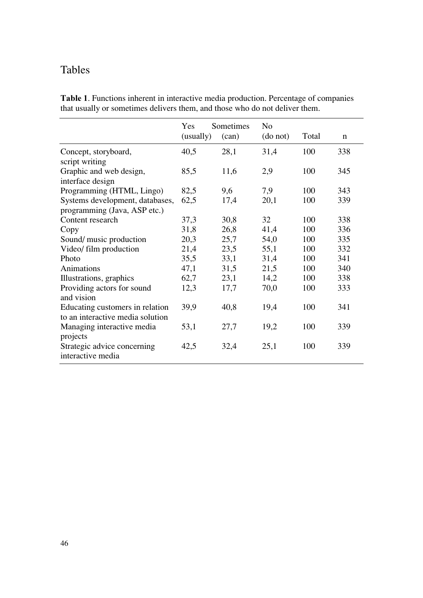# Tables

Table 1. Functions inherent in interactive media production. Percentage of companies that usually or sometimes delivers them, and those who do not deliver them.

|                                                                     | Yes       | Sometimes | N <sub>0</sub> |       |             |
|---------------------------------------------------------------------|-----------|-----------|----------------|-------|-------------|
|                                                                     | (usually) | (can)     | (do not)       | Total | $\mathbf n$ |
| Concept, storyboard,<br>script writing                              | 40,5      | 28,1      | 31,4           | 100   | 338         |
| Graphic and web design,<br>interface design                         | 85,5      | 11,6      | 2,9            | 100   | 345         |
| Programming (HTML, Lingo)                                           | 82,5      | 9,6       | 7,9            | 100   | 343         |
| Systems development, databases,                                     | 62,5      | 17,4      | 20,1           | 100   | 339         |
| programming (Java, ASP etc.)                                        |           |           |                |       |             |
| Content research                                                    | 37,3      | 30,8      | 32             | 100   | 338         |
| Copy                                                                | 31,8      | 26,8      | 41,4           | 100   | 336         |
| Sound/ music production                                             | 20,3      | 25,7      | 54,0           | 100   | 335         |
| Video/ film production                                              | 21,4      | 23,5      | 55,1           | 100   | 332         |
| Photo                                                               | 35,5      | 33,1      | 31,4           | 100   | 341         |
| Animations                                                          | 47,1      | 31,5      | 21,5           | 100   | 340         |
| Illustrations, graphics                                             | 62,7      | 23,1      | 14,2           | 100   | 338         |
| Providing actors for sound<br>and vision                            | 12,3      | 17,7      | 70,0           | 100   | 333         |
| Educating customers in relation<br>to an interactive media solution | 39,9      | 40,8      | 19,4           | 100   | 341         |
| Managing interactive media<br>projects                              | 53,1      | 27,7      | 19,2           | 100   | 339         |
| Strategic advice concerning<br>interactive media                    | 42,5      | 32,4      | 25,1           | 100   | 339         |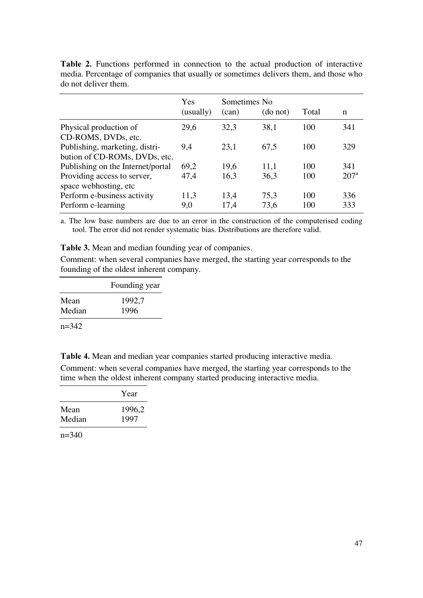|                                                       | Yes<br>(usually) | Sometimes No.<br>(can) | (do not) | Total | n                |
|-------------------------------------------------------|------------------|------------------------|----------|-------|------------------|
| Physical production of                                | 29,6             | 32,3                   | 38,1     | 100   | 341              |
| CD-ROMS, DVDs, etc.                                   |                  |                        |          |       |                  |
| Publishing, marketing, distri-                        | 9,4              | 23,1                   | 67,5     | 100   | 329              |
| bution of CD-ROMs, DVDs, etc.                         |                  |                        |          |       |                  |
| Publishing on the Internet/portal                     | 69,2             | 19,6                   | 11,1     | 100   | 341              |
| Providing access to server,<br>space webhosting, etc. | 47,4             | 16,3                   | 36,3     | 100   | 207 <sup>a</sup> |
| Perform e-business activity                           | 11,3             | 13,4                   | 75,3     | 100   | 336              |
| Perform e-learning                                    | 9,0              | 17,4                   | 73,6     | 100   | 333              |

Table 2. Functions performed in connection to the actual production of interactive media. Percentage of companies that usually or sometimes delivers them, and those who do not deliver them.

a. The low base numbers are due to an error in the construction of the computerised coding tool. The error did not render systematic bias. Distributions are therefore valid.

Table 3. Mean and median founding year of companies.

Comment: when several companies have merged, the starting year corresponds to the founding of the oldest inherent company.

|        | Founding year |
|--------|---------------|
| Mean   | 1992,7        |
| Median | 1996          |

n=342

Table 4. Mean and median year companies started producing interactive media.

Comment: when several companies have merged, the starting year corresponds to the time when the oldest inherent company started producing interactive media.

| 1996,2<br>1997 |
|----------------|
|                |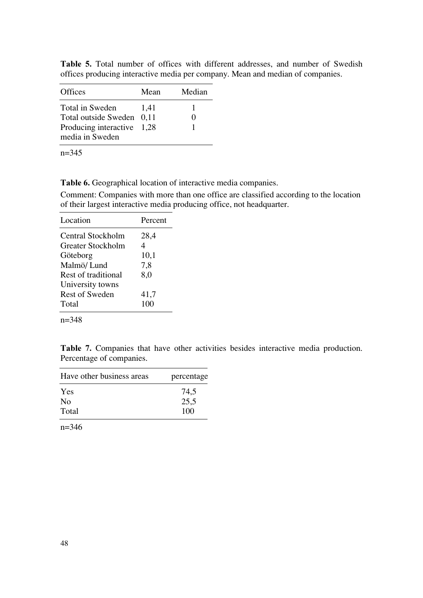| Offices                                                                                       | Mean | Median |
|-----------------------------------------------------------------------------------------------|------|--------|
| Total in Sweden<br>Total outside Sweden 0,11<br>Producing interactive 1,28<br>media in Sweden | 1,41 |        |

Table 5. Total number of offices with different addresses, and number of Swedish offices producing interactive media per company. Mean and median of companies.

n=345

Table 6. Geographical location of interactive media companies.

Comment: Companies with more than one office are classified according to the location of their largest interactive media producing office, not headquarter.

| Location                 | Percent |
|--------------------------|---------|
| <b>Central Stockholm</b> | 28,4    |
| Greater Stockholm        |         |
| Göteborg                 | 10,1    |
| Malmö/Lund               | 7,8     |
| Rest of traditional      | 8,0     |
| University towns         |         |
| <b>Rest of Sweden</b>    | 41,7    |
| Total                    | 100     |
|                          |         |

n=348

Table 7. Companies that have other activities besides interactive media production. Percentage of companies.

| Have other business areas | percentage |
|---------------------------|------------|
| Yes                       | 74,5       |
| N <sub>0</sub>            | 25,5       |
| Total                     | 100        |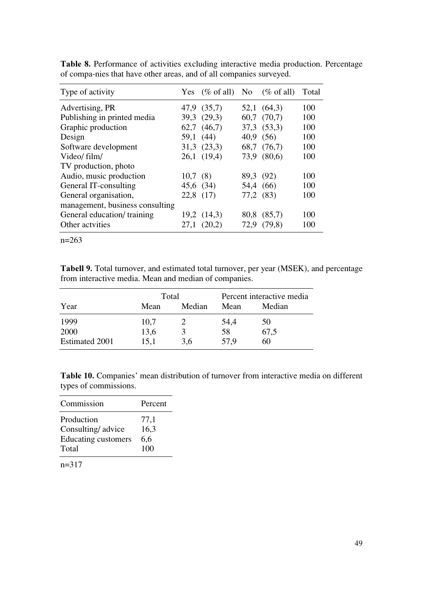| Type of activity                |           | Yes $(\% \text{ of all})$ No $(\% \text{ of all})$ |           |                 | Total |
|---------------------------------|-----------|----------------------------------------------------|-----------|-----------------|-------|
| Advertising, PR                 |           | 47,9 (35,7)                                        |           | 52,1 (64,3)     | 100   |
| Publishing in printed media     |           | 39,3 (29,3)                                        |           | $60,7$ $(70,7)$ | 100   |
| Graphic production              |           | $62,7$ $(46,7)$                                    |           | 37,3 (53,3)     | 100   |
| Design                          |           | 59,1 (44)                                          | 40,9(56)  |                 | 100   |
| Software development            |           | 31,3(23,3)                                         |           | 68,7 (76,7)     | 100   |
| Video/ film/                    |           | 26,1(19,4)                                         |           | 73,9 (80,6)     | 100   |
| TV production, photo            |           |                                                    |           |                 |       |
| Audio, music production         | 10,7(8)   |                                                    | 89,3 (92) |                 | 100   |
| General IT-consulting           | 45,6 (34) |                                                    | 54,4 (66) |                 | 100   |
| General organisation,           |           | 22,8 (17)                                          | 77,2 (83) |                 | 100   |
| management, business consulting |           |                                                    |           |                 |       |
| General education/training      |           | 19,2(14,3)                                         |           | 80,8 (85,7)     | 100   |
| Other actvities                 |           | 27,1(20,2)                                         |           | 72,9 (79,8)     | 100   |

Table 8. Performance of activities excluding interactive media production. Percentage of compa-nies that have other areas, and of all companies surveyed.

Tabell 9. Total turnover, and estimated total turnover, per year (MSEK), and percentage from interactive media. Mean and median of companies.

|                |      | Total  |      | Percent interactive media |
|----------------|------|--------|------|---------------------------|
| Year           | Mean | Median | Mean | Median                    |
| 1999           | 10,7 |        | 54,4 | 50                        |
| 2000           | 13,6 |        | 58   | 67,5                      |
| Estimated 2001 | 15,1 | 3.6    | 57.9 | 60                        |

Table 10. Companies' mean distribution of turnover from interactive media on different types of commissions.

| Commission                 | Percent |
|----------------------------|---------|
| Production                 | 77,1    |
| Consulting/advice          | 16,3    |
| <b>Educating customers</b> | 6,6     |
| Total                      | 100     |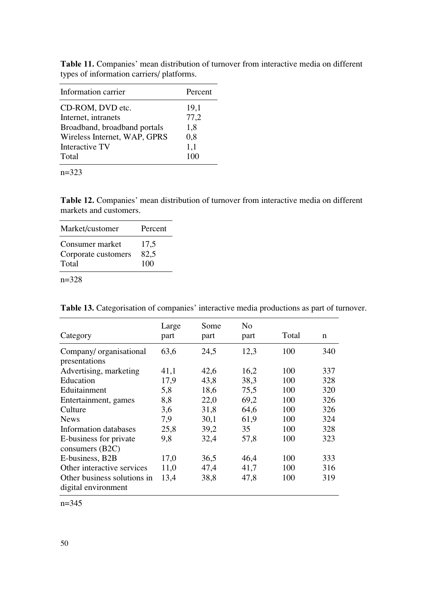| Information carrier          | Percent |
|------------------------------|---------|
| CD-ROM, DVD etc.             | 19,1    |
| Internet, intranets          | 77,2    |
| Broadband, broadband portals | 1,8     |
| Wireless Internet, WAP, GPRS | 0,8     |
| Interactive TV               | 1,1     |
| Total                        |         |

Table 11. Companies' mean distribution of turnover from interactive media on different types of information carriers/ platforms.

n=323

Table 12. Companies' mean distribution of turnover from interactive media on different markets and customers.

| Market/customer                                 | Percent             |
|-------------------------------------------------|---------------------|
| Consumer market<br>Corporate customers<br>Total | 17,5<br>82,5<br>100 |
|                                                 |                     |

n=328

| Category                                           | Large<br>part | Some<br>part | No<br>part | Total | n   |
|----------------------------------------------------|---------------|--------------|------------|-------|-----|
| Company/ organisational<br>presentations           | 63,6          | 24,5         | 12,3       | 100   | 340 |
| Advertising, marketing                             | 41,1          | 42,6         | 16,2       | 100   | 337 |
| Education                                          | 17,9          | 43,8         | 38,3       | 100   | 328 |
| Eduitainment                                       | 5,8           | 18,6         | 75,5       | 100   | 320 |
| Entertainment, games                               | 8,8           | 22,0         | 69,2       | 100   | 326 |
| Culture                                            | 3,6           | 31,8         | 64,6       | 100   | 326 |
| <b>News</b>                                        | 7,9           | 30,1         | 61,9       | 100   | 324 |
| Information databases                              | 25,8          | 39,2         | 35         | 100   | 328 |
| E-business for private                             | 9,8           | 32,4         | 57,8       | 100   | 323 |
| consumers (B2C)                                    |               |              |            |       |     |
| E-business, B2B                                    | 17,0          | 36,5         | 46,4       | 100   | 333 |
| Other interactive services                         | 11,0          | 47,4         | 41,7       | 100   | 316 |
| Other business solutions in<br>digital environment | 13,4          | 38,8         | 47,8       | 100   | 319 |

Table 13. Categorisation of companies' interactive media productions as part of turnover.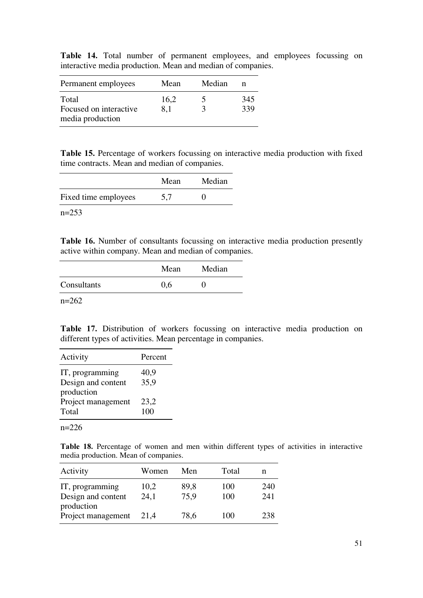|                                                             |  |  |  |  |  | Table 14. Total number of permanent employees, and employees focussing on |  |  |  |  |
|-------------------------------------------------------------|--|--|--|--|--|---------------------------------------------------------------------------|--|--|--|--|
| interactive media production. Mean and median of companies. |  |  |  |  |  |                                                                           |  |  |  |  |

| Permanent employees                                 | Mean        | Median | n          |
|-----------------------------------------------------|-------------|--------|------------|
| Total<br>Focused on interactive<br>media production | 16,2<br>8.1 | ┑<br>з | 345<br>339 |

Table 15. Percentage of workers focussing on interactive media production with fixed time contracts. Mean and median of companies.

|                      | Mean | Median |
|----------------------|------|--------|
| Fixed time employees | 5,7  |        |

n=253

Table 16. Number of consultants focussing on interactive media production presently active within company. Mean and median of companies.

|             | Mean | Median |
|-------------|------|--------|
| Consultants | 0.6  |        |

n=262

Table 17. Distribution of workers focussing on interactive media production on different types of activities. Mean percentage in companies.

| Activity                                  | Percent      |
|-------------------------------------------|--------------|
| IT, programming<br>Design and content     | 40,9<br>35,9 |
| production<br>Project management<br>Total | 23,2<br>100  |

n=226

Table 18. Percentage of women and men within different types of activities in interactive media production. Mean of companies.

| Activity                              | Women        | Men          | Total      |            |
|---------------------------------------|--------------|--------------|------------|------------|
| IT, programming<br>Design and content | 10,2<br>24,1 | 89,8<br>75,9 | 100<br>100 | 240<br>241 |
| production<br>Project management      | 21,4         | 78,6         | 100        | 238        |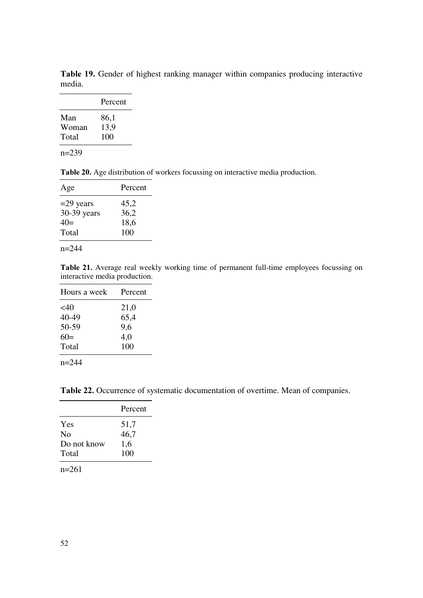Table 19. Gender of highest ranking manager within companies producing interactive media.

|       | Percent |
|-------|---------|
| Man   | 86,1    |
| Woman | 13,9    |
| Total | 100     |

Table 20. Age distribution of workers focussing on interactive media production.

| Age                                           | Percent                     |
|-----------------------------------------------|-----------------------------|
| $=$ 29 years<br>30-39 years<br>$40=$<br>Total | 45,2<br>36,2<br>18,6<br>100 |
|                                               |                             |

n=244

Table 21. Average real weekly working time of permanent full-time employees focussing on interactive media production.

| Percent |
|---------|
| 21,0    |
| 65,4    |
| 9,6     |
| 4,0     |
| 100     |
|         |

n=244

Table 22. Occurrence of systematic documentation of overtime. Mean of companies.

|                                               | Percent                    |
|-----------------------------------------------|----------------------------|
| Yes<br>N <sub>0</sub><br>Do not know<br>Total | 51,7<br>46,7<br>1,6<br>100 |
|                                               |                            |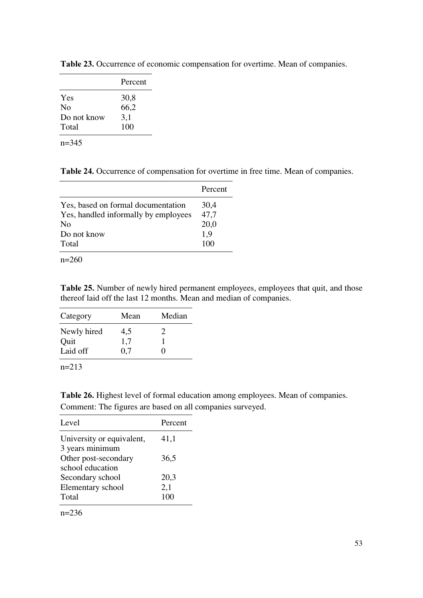|                | Percent |
|----------------|---------|
| Yes            | 30,8    |
| N <sub>0</sub> | 66,2    |
| Do not know    | 3,1     |
| Total          | 100     |
|                |         |

Table 23. Occurrence of economic compensation for overtime. Mean of companies.

Table 24. Occurrence of compensation for overtime in free time. Mean of companies.

|                                      | Percent |
|--------------------------------------|---------|
| Yes, based on formal documentation   | 30,4    |
| Yes, handled informally by employees | 47,7    |
| N <sub>0</sub>                       | 20,0    |
| Do not know                          | 1,9     |
| Total                                | 100     |

n=260

Table 25. Number of newly hired permanent employees, employees that quit, and those thereof laid off the last 12 months. Mean and median of companies.

| Mean | Median        |
|------|---------------|
| 4,5  | $\mathcal{L}$ |
| 1,7  |               |
| 0.7  |               |
|      |               |

n=213

Table 26. Highest level of formal education among employees. Mean of companies. Comment: The figures are based on all companies surveyed.

| Level                                   | Percent |
|-----------------------------------------|---------|
| University or equivalent,               | 41,1    |
| 3 years minimum<br>Other post-secondary | 36,5    |
| school education                        |         |
| Secondary school                        | 20,3    |
| Elementary school                       | 2,1     |
| Total                                   | 100     |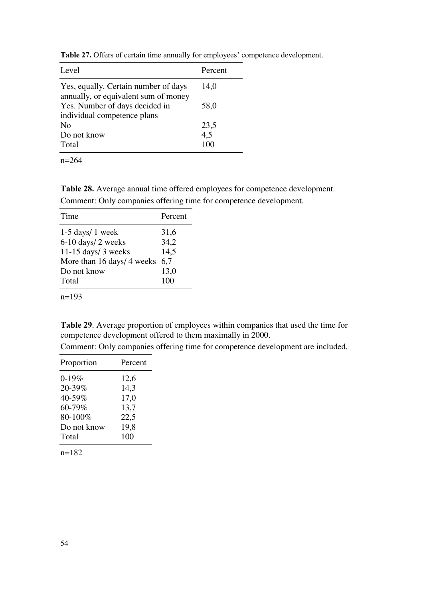| Level                                                                        | Percent |
|------------------------------------------------------------------------------|---------|
| Yes, equally. Certain number of days<br>annually, or equivalent sum of money | 14,0    |
| Yes. Number of days decided in<br>individual competence plans                | 58,0    |
| N <sub>0</sub>                                                               | 23,5    |
| Do not know                                                                  | 4,5     |
| Total                                                                        | 100     |

Table 27. Offers of certain time annually for employees' competence development.

Table 28. Average annual time offered employees for competence development. Comment: Only companies offering time for competence development.

| Time                       | Percent |
|----------------------------|---------|
| $1-5$ days/ 1 week         | 31,6    |
| $6-10$ days/ 2 weeks       | 34,2    |
| 11-15 days/ $3$ weeks      | 14,5    |
| More than 16 days/ 4 weeks | 6,7     |
| Do not know                | 13,0    |
| Total                      | 100     |
| $n=193$                    |         |

Table 29. Average proportion of employees within companies that used the time for competence development offered to them maximally in 2000.

Comment: Only companies offering time for competence development are included.

| Proportion  | Percent |
|-------------|---------|
| $0 - 19%$   | 12,6    |
| 20-39%      | 14,3    |
| 40-59%      | 17,0    |
| 60-79%      | 13,7    |
| 80-100%     | 22,5    |
| Do not know | 19,8    |
| Total       | 100     |
|             |         |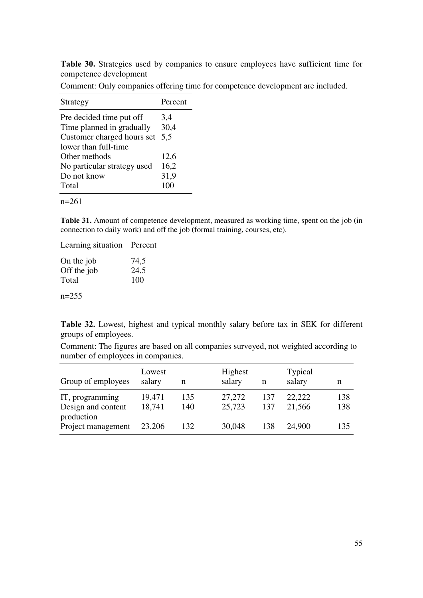Table 30. Strategies used by companies to ensure employees have sufficient time for competence development

| Strategy                    | Percent |
|-----------------------------|---------|
| Pre decided time put off    | 3,4     |
| Time planned in gradually   | 30,4    |
| Customer charged hours set  | 5,5     |
| lower than full-time        |         |
| Other methods               | 12,6    |
| No particular strategy used | 16,2    |
| Do not know                 | 31,9    |
| Total                       | 100     |
|                             |         |

Comment: Only companies offering time for competence development are included.

n=261

Table 31. Amount of competence development, measured as working time, spent on the job (in connection to daily work) and off the job (formal training, courses, etc).

| Learning situation Percent |      |
|----------------------------|------|
| On the job                 | 74,5 |
| Off the job                | 24,5 |
| Total                      | 100  |
| $n=255$                    |      |

Table 32. Lowest, highest and typical monthly salary before tax in SEK for different groups of employees.

Comment: The figures are based on all companies surveyed, not weighted according to number of employees in companies.

| Group of employees                    | Lowest<br>salary | n          | Highest<br>salary | n          | <b>Typical</b><br>salary |            |
|---------------------------------------|------------------|------------|-------------------|------------|--------------------------|------------|
| IT, programming<br>Design and content | 19,471<br>18,741 | 135<br>140 | 27,272<br>25,723  | 137<br>137 | 22,222<br>21,566         | 138<br>138 |
| production<br>Project management      | 23,206           | 132        | 30,048            | 138        | 24,900                   | 135        |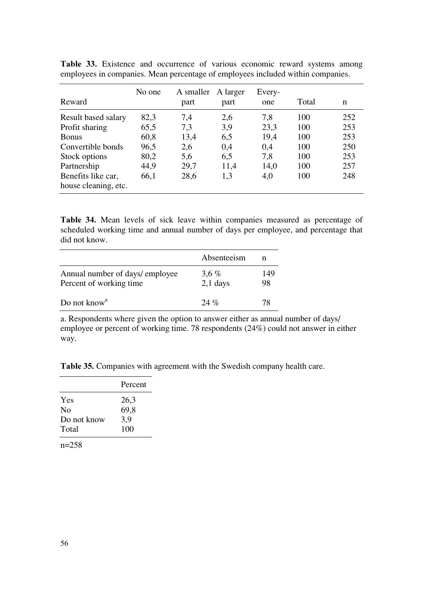| Reward                                     | No one | A smaller<br>part | A larger<br>part | Every-<br>one | Total | n   |
|--------------------------------------------|--------|-------------------|------------------|---------------|-------|-----|
| Result based salary                        | 82,3   | 7,4               | 2,6              | 7,8           | 100   | 252 |
| Profit sharing                             | 65,5   | 7,3               | 3,9              | 23,3          | 100   | 253 |
| <b>Bonus</b>                               | 60,8   | 13,4              | 6,5              | 19,4          | 100   | 253 |
| Convertible bonds                          | 96,5   | 2,6               | 0,4              | 0,4           | 100   | 250 |
| Stock options                              | 80,2   | 5,6               | 6,5              | 7,8           | 100   | 253 |
| Partnership                                | 44,9   | 29,7              | 11,4             | 14,0          | 100   | 257 |
| Benefits like car,<br>house cleaning, etc. | 66,1   | 28,6              | 1,3              | 4,0           | 100   | 248 |

Table 33. Existence and occurrence of various economic reward systems among employees in companies. Mean percentage of employees included within companies.

Table 34. Mean levels of sick leave within companies measured as percentage of scheduled working time and annual number of days per employee, and percentage that did not know.

|                                                             | Absenteeism           | n         |
|-------------------------------------------------------------|-----------------------|-----------|
| Annual number of days/ employee<br>Percent of working time. | $3,6\%$<br>$2,1$ days | 149<br>98 |
| Do not know <sup>a</sup>                                    | $24\%$                | 78        |

a. Respondents where given the option to answer either as annual number of days/ employee or percent of working time. 78 respondents (24%) could not answer in either way.

Table 35. Companies with agreement with the Swedish company health care.

|             | Percent |
|-------------|---------|
| Yes         | 26,3    |
| No          | 69,8    |
| Do not know | 3,9     |
| Total       | 100     |
| $n=258$     |         |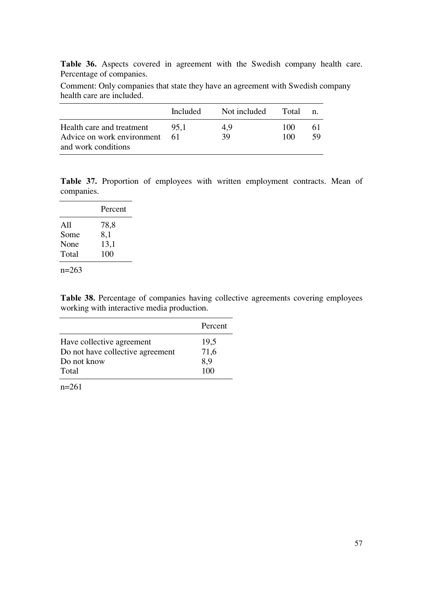Table 36. Aspects covered in agreement with the Swedish company health care. Percentage of companies.

Comment: Only companies that state they have an agreement with Swedish company health care are included.

|                                                                                | Included   | Not included | Total      |    |
|--------------------------------------------------------------------------------|------------|--------------|------------|----|
| Health care and treatment<br>Advice on work environment<br>and work conditions | 95.1<br>61 | 4.9<br>39    | 100<br>100 | 59 |

Table 37. Proportion of employees with written employment contracts. Mean of companies.

|         | Percent |
|---------|---------|
| All     | 78,8    |
| Some    | 8,1     |
| None    | 13,1    |
| Total   | 100     |
| $n=263$ |         |

Table 38. Percentage of companies having collective agreements covering employees working with interactive media production.

|                                  | Percent |
|----------------------------------|---------|
| Have collective agreement        | 19,5    |
| Do not have collective agreement | 71,6    |
| Do not know                      | 8,9     |
| Total                            | 100     |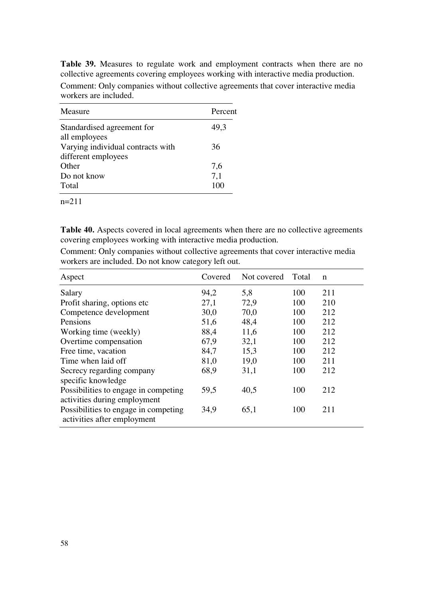Table 39. Measures to regulate work and employment contracts when there are no collective agreements covering employees working with interactive media production.

Comment: Only companies without collective agreements that cover interactive media workers are included.

| Measure                           | Percent |
|-----------------------------------|---------|
| Standardised agreement for        | 49,3    |
| all employees                     |         |
| Varying individual contracts with | 36      |
| different employees               |         |
| Other                             | 7,6     |
| Do not know                       | 7,1     |
| Total                             | 100     |

n=211

Table 40. Aspects covered in local agreements when there are no collective agreements covering employees working with interactive media production.

Comment: Only companies without collective agreements that cover interactive media workers are included. Do not know category left out.

| Aspect                                                               | Covered | Not covered | Total | n   |
|----------------------------------------------------------------------|---------|-------------|-------|-----|
| Salary                                                               | 94,2    | 5,8         | 100   | 211 |
| Profit sharing, options etc                                          | 27,1    | 72,9        | 100   | 210 |
| Competence development                                               | 30,0    | 70,0        | 100   | 212 |
| Pensions                                                             | 51,6    | 48,4        | 100   | 212 |
| Working time (weekly)                                                | 88,4    | 11,6        | 100   | 212 |
| Overtime compensation                                                | 67,9    | 32,1        | 100   | 212 |
| Free time, vacation                                                  | 84,7    | 15,3        | 100   | 212 |
| Time when laid off                                                   | 81,0    | 19,0        | 100   | 211 |
| Secrecy regarding company<br>specific knowledge                      | 68,9    | 31,1        | 100   | 212 |
| Possibilities to engage in competing<br>activities during employment | 59,5    | 40,5        | 100   | 212 |
| Possibilities to engage in competing<br>activities after employment  | 34,9    | 65,1        | 100   | 211 |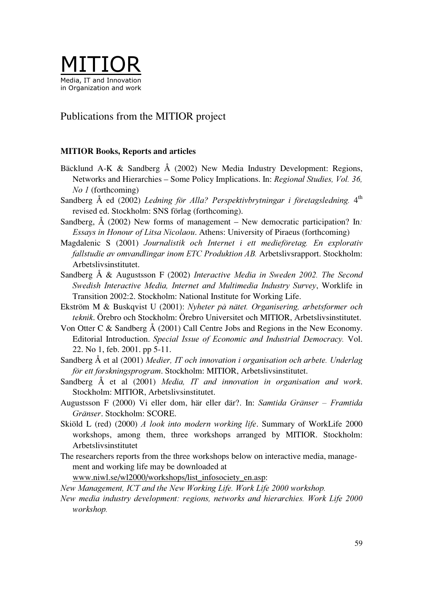

Publications from the MITIOR project

#### **MITIOR Books, Reports and articles**

- Bäcklund A-K & Sandberg Å (2002) New Media Industry Development: Regions, Networks and Hierarchies - Some Policy Implications. In: Regional Studies, Vol. 36,  $No I$  (forthcoming)
- Sandberg Å ed (2002) Ledning för Alla? Perspektivbrytningar i företagsledning. 4<sup>th</sup> revised ed. Stockholm: SNS förlag (forthcoming).
- Sandberg,  $\AA$  (2002) New forms of management New democratic participation? In: *Essays in Honour of Litsa Nicolaou.* Athens: University of Piraeus (forthcoming)
- Magdalenic S (2001) Journalistik och Internet i ett medieföretag. En explorativ fallstudie av omvandlingar inom ETC Produktion AB. Arbetslivsrapport. Stockholm: Arbetslivsinstitutet.
- Sandberg  $\AA$  & Augustsson F (2002) Interactive Media in Sweden 2002. The Second Swedish Interactive Media, Internet and Multimedia Industry Survey, Worklife in Transition 2002:2. Stockholm: National Institute for Working Life.
- Ekström M & Buskqvist U (2001): Nyheter på nätet. Organisering, arbetsformer och teknik. Örebro och Stockholm: Örebro Universitet och MITIOR, Arbetslivsinstitutet.
- Von Otter C & Sandberg Å (2001) Call Centre Jobs and Regions in the New Economy. Editorial Introduction. Special Issue of Economic and Industrial Democracy. Vol. 22. No 1, feb. 2001. pp 5-11.
- Sandberg Å et al (2001) Medier, IT och innovation i organisation och arbete. Underlag för ett forskningsprogram. Stockholm: MITIOR, Arbetslivsinstitutet.
- Sandberg  $\AA$  et al (2001) *Media*, IT and innovation in organisation and work. Stockholm: MITIOR, Arbetslivsinstitutet.
- Augustsson F (2000) Vi eller dom, här eller där?. In: Samtida Gränser Framtida Gränser. Stockholm: SCORE.
- Skiöld L (red) (2000) A look into modern working life. Summary of WorkLife 2000 workshops, among them, three workshops arranged by MITIOR. Stockholm: Arbetslivsinstitutet
- The researchers reports from the three workshops below on interactive media, management and working life may be downloaded at
	- www.niwl.se/wl2000/workshops/list\_infosociety\_en.asp:
- New Management, ICT and the New Working Life. Work Life 2000 workshop.
- New media industry development: regions, networks and hierarchies. Work Life 2000 workshop.